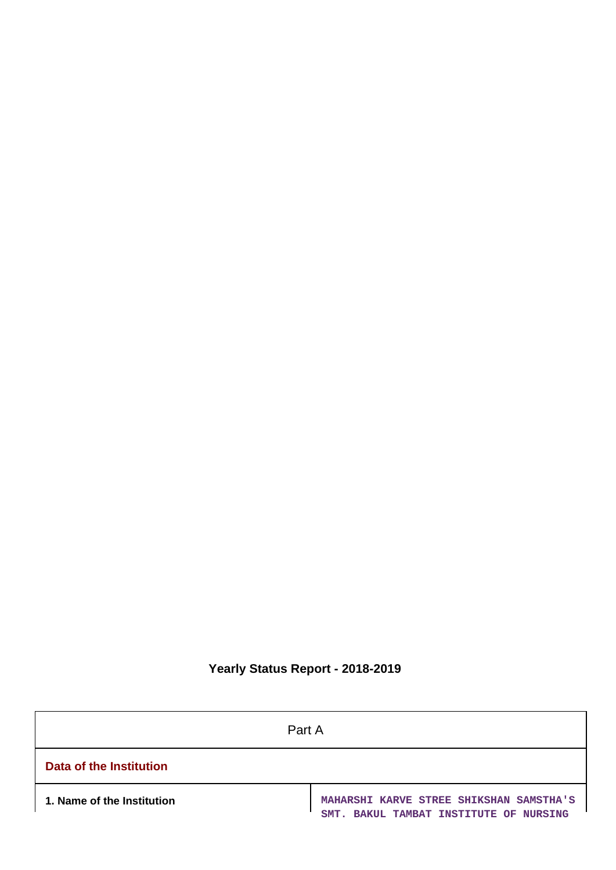# **Yearly Status Report - 2018-2019**

| Part A                     |                                                                                   |  |
|----------------------------|-----------------------------------------------------------------------------------|--|
| Data of the Institution    |                                                                                   |  |
| 1. Name of the Institution | MAHARSHI KARVE STREE SHIKSHAN SAMSTHA'S<br>SMT. BAKUL TAMBAT INSTITUTE OF NURSING |  |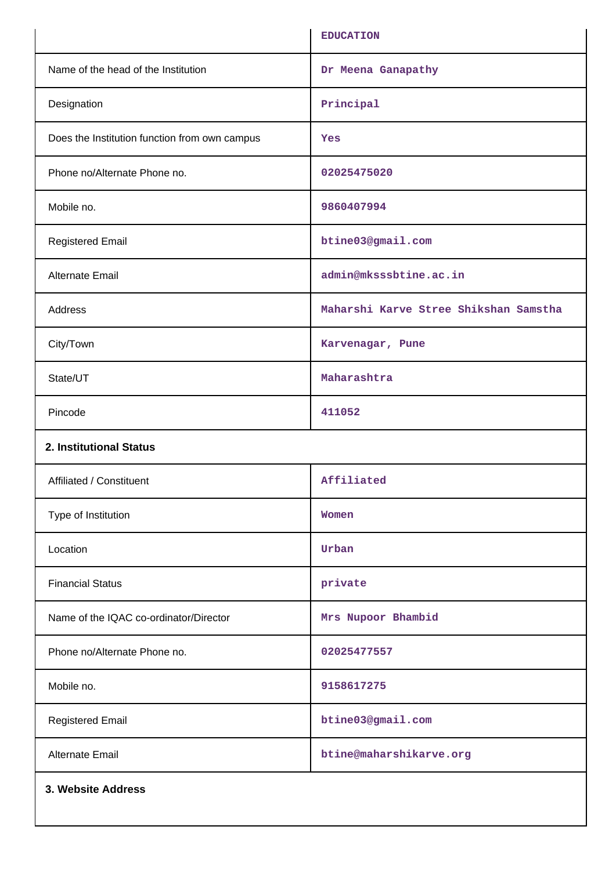|                                               | <b>EDUCATION</b>                      |
|-----------------------------------------------|---------------------------------------|
| Name of the head of the Institution           | Dr Meena Ganapathy                    |
| Designation                                   | Principal                             |
| Does the Institution function from own campus | <b>Yes</b>                            |
| Phone no/Alternate Phone no.                  | 02025475020                           |
| Mobile no.                                    | 9860407994                            |
| <b>Registered Email</b>                       | btine03@gmail.com                     |
| Alternate Email                               | admin@mksssbtine.ac.in                |
| Address                                       | Maharshi Karve Stree Shikshan Samstha |
| City/Town                                     | Karvenagar, Pune                      |
| State/UT                                      | Maharashtra                           |
| Pincode                                       | 411052                                |
| 2. Institutional Status                       |                                       |
| Affiliated / Constituent                      | Affiliated                            |
| Type of Institution                           | Women                                 |
| Location                                      | Urban                                 |
| <b>Financial Status</b>                       | private                               |
| Name of the IQAC co-ordinator/Director        | Mrs Nupoor Bhambid                    |
| Phone no/Alternate Phone no.                  | 02025477557                           |
| Mobile no.                                    | 9158617275                            |
| <b>Registered Email</b>                       | btine03@gmail.com                     |
| <b>Alternate Email</b>                        | btine@maharshikarve.org               |
| 3. Website Address                            |                                       |
|                                               |                                       |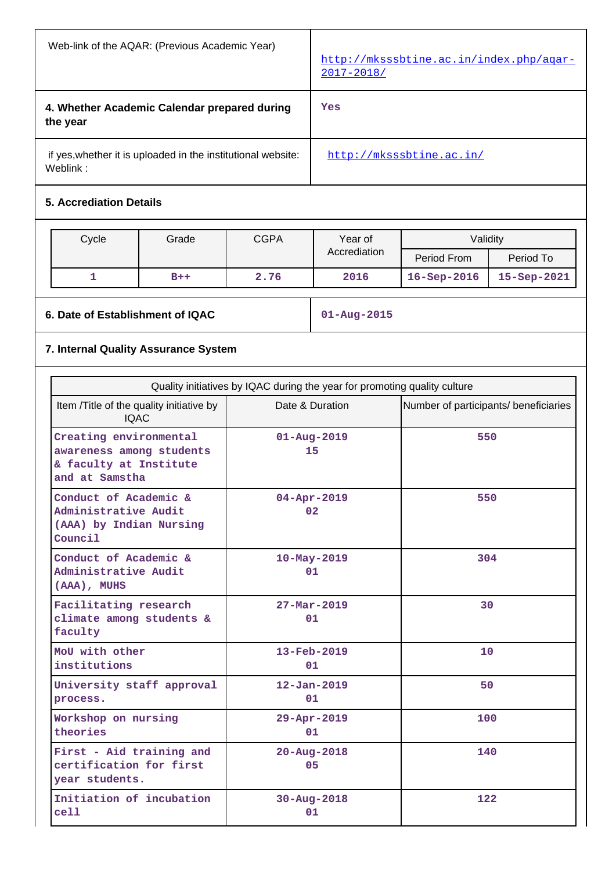| Web-link of the AQAR: (Previous Academic Year)                           | http://mksssbtine.ac.in/index.php/agar-<br>$2017 - 2018/$ |
|--------------------------------------------------------------------------|-----------------------------------------------------------|
| 4. Whether Academic Calendar prepared during<br>the year                 | Yes                                                       |
| if yes, whether it is uploaded in the institutional website:<br>Weblink: | http://mksssbtine.ac.in/                                  |

# **5. Accrediation Details**

| Cycle | Grade | <b>CGPA</b> | Year of      | Validity           |                 |
|-------|-------|-------------|--------------|--------------------|-----------------|
|       |       |             | Accrediation | Period From        | Period To       |
|       | $B++$ | 2.76        | 2016         | $16 -$ Sep $-2016$ | $15 - Sep-2021$ |

**6. Date of Establishment of IQAC 01-Aug-2015**

# **7. Internal Quality Assurance System**

| Quality initiatives by IQAC during the year for promoting quality culture                      |                                |                                       |  |  |  |
|------------------------------------------------------------------------------------------------|--------------------------------|---------------------------------------|--|--|--|
| Item / Title of the quality initiative by<br><b>IQAC</b>                                       | Date & Duration                | Number of participants/ beneficiaries |  |  |  |
| Creating environmental<br>awareness among students<br>& faculty at Institute<br>and at Samstha | $01 - Aug - 2019$<br>15        | 550                                   |  |  |  |
| Conduct of Academic &<br>Administrative Audit<br>(AAA) by Indian Nursing<br>Council            | $04 - Apr - 2019$<br>02        | 550                                   |  |  |  |
| Conduct of Academic &<br>Administrative Audit<br>(AAA), MUHS                                   | $10 - May - 2019$<br>01        | 304                                   |  |  |  |
| Facilitating research<br>climate among students &<br>faculty                                   | $27 - Mar - 2019$<br>01        | 30                                    |  |  |  |
| MoU with other<br>institutions                                                                 | $13 - \text{Feb} - 2019$<br>01 | 10                                    |  |  |  |
| University staff approval<br>process.                                                          | $12 - Jan - 2019$<br>01        | 50                                    |  |  |  |
| Workshop on nursing<br>theories                                                                | 29-Apr-2019<br>01              | 100                                   |  |  |  |
| First - Aid training and<br>certification for first<br>year students.                          | $20 - Aug - 2018$<br>05        | 140                                   |  |  |  |
| Initiation of incubation<br>cell                                                               | 30-Aug-2018<br>01              | 122                                   |  |  |  |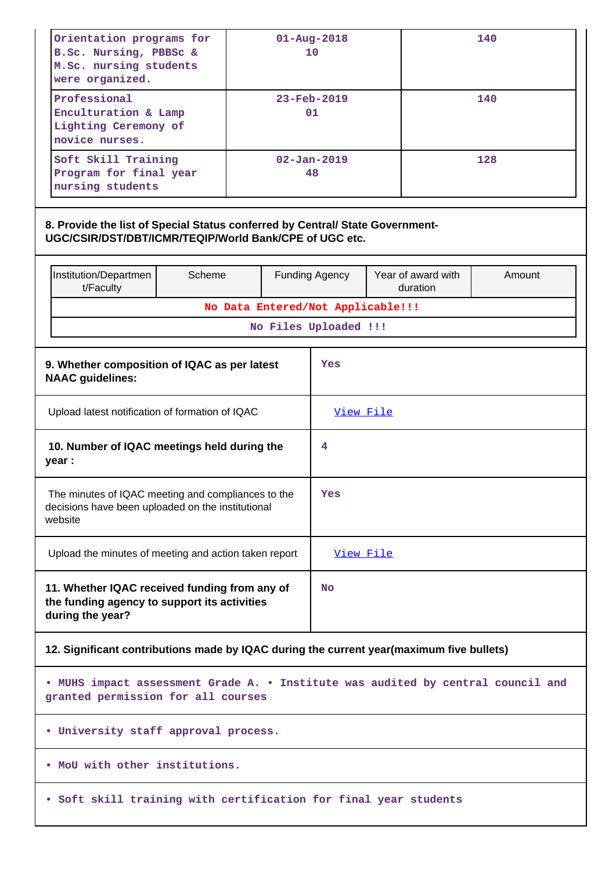| Orientation programs for<br>B.Sc. Nursing, PBBSc &<br>M.Sc. nursing students<br>were organized.                                         | $01 - Aug - 2018$<br>10 |     |                                                            |  |                                | 140    |
|-----------------------------------------------------------------------------------------------------------------------------------------|-------------------------|-----|------------------------------------------------------------|--|--------------------------------|--------|
| Professional<br>Enculturation & Lamp<br>Lighting Ceremony of<br>novice nurses.                                                          |                         |     | $23 - \text{Feb} - 2019$<br>01                             |  |                                | 140    |
| Soft Skill Training<br>Program for final year<br>nursing students                                                                       | $02 - Jan - 2019$<br>48 |     |                                                            |  |                                | 128    |
| 8. Provide the list of Special Status conferred by Central/ State Government-<br>UGC/CSIR/DST/DBT/ICMR/TEQIP/World Bank/CPE of UGC etc. |                         |     |                                                            |  |                                |        |
| Institution/Departmen<br>Scheme<br>t/Faculty                                                                                            |                         |     | <b>Funding Agency</b>                                      |  | Year of award with<br>duration | Amount |
|                                                                                                                                         |                         |     | No Data Entered/Not Applicable!!!<br>No Files Uploaded !!! |  |                                |        |
|                                                                                                                                         |                         |     |                                                            |  |                                |        |
| 9. Whether composition of IQAC as per latest<br><b>NAAC</b> guidelines:                                                                 |                         |     | Yes                                                        |  |                                |        |
| Upload latest notification of formation of IQAC                                                                                         |                         |     | View File                                                  |  |                                |        |
| 10. Number of IQAC meetings held during the<br>year :                                                                                   |                         | 4   |                                                            |  |                                |        |
| The minutes of IQAC meeting and compliances to the<br>decisions have been uploaded on the institutional<br>website                      |                         | Yes |                                                            |  |                                |        |
| Upload the minutes of meeting and action taken report                                                                                   |                         |     | View File                                                  |  |                                |        |
| 11. Whether IQAC received funding from any of<br>the funding agency to support its activities<br>during the year?                       |                         |     | <b>No</b>                                                  |  |                                |        |
| 12. Significant contributions made by IQAC during the current year(maximum five bullets)                                                |                         |     |                                                            |  |                                |        |
| . MUHS impact assessment Grade A. . Institute was audited by central council and<br>granted permission for all courses                  |                         |     |                                                            |  |                                |        |
| . University staff approval process.                                                                                                    |                         |     |                                                            |  |                                |        |
| . MoU with other institutions.                                                                                                          |                         |     |                                                            |  |                                |        |
| . Soft skill training with certification for final year students                                                                        |                         |     |                                                            |  |                                |        |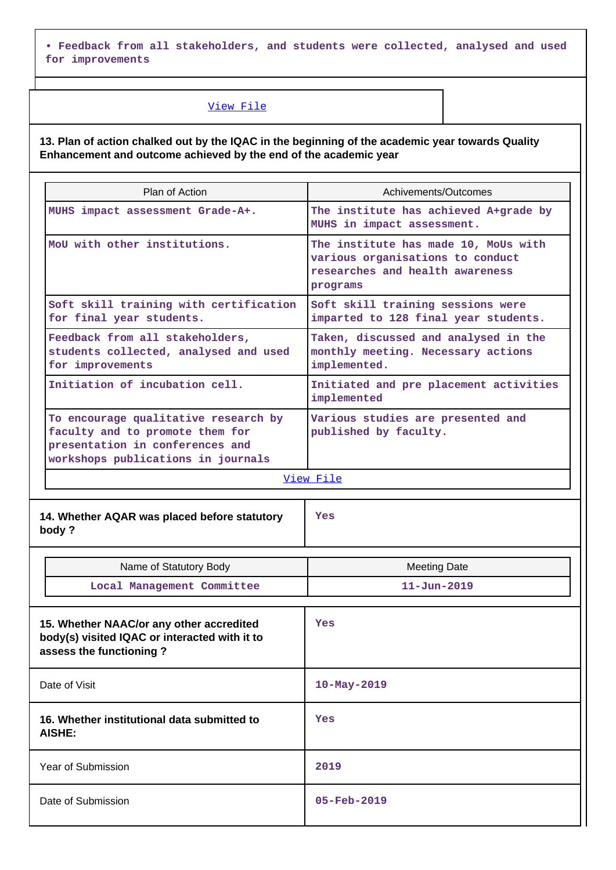**• Feedback from all stakeholders, and students were collected, analysed and used for improvements**

# [View File](https://assessmentonline.naac.gov.in/public/Postacc/Contribution/974_Contribution.xlsx)

**13. Plan of action chalked out by the IQAC in the beginning of the academic year towards Quality Enhancement and outcome achieved by the end of the academic year**

| Plan of Action                                                                                                                                   | Achivements/Outcomes                                                                                                    |  |  |  |
|--------------------------------------------------------------------------------------------------------------------------------------------------|-------------------------------------------------------------------------------------------------------------------------|--|--|--|
| MUHS impact assessment Grade-A+.                                                                                                                 | The institute has achieved A+grade by<br>MUHS in impact assessment.                                                     |  |  |  |
| MoU with other institutions.                                                                                                                     | The institute has made 10, MoUs with<br>various organisations to conduct<br>researches and health awareness<br>programs |  |  |  |
| Soft skill training with certification<br>for final year students.                                                                               | Soft skill training sessions were<br>imparted to 128 final year students.                                               |  |  |  |
| Feedback from all stakeholders,<br>students collected, analysed and used<br>for improvements                                                     | Taken, discussed and analysed in the<br>monthly meeting. Necessary actions<br>implemented.                              |  |  |  |
| Initiation of incubation cell.                                                                                                                   | Initiated and pre placement activities<br>implemented                                                                   |  |  |  |
| To encourage qualitative research by<br>faculty and to promote them for<br>presentation in conferences and<br>workshops publications in journals | Various studies are presented and<br>published by faculty.                                                              |  |  |  |
| View File                                                                                                                                        |                                                                                                                         |  |  |  |

| 14. Whether AQAR was placed before statutory<br>body?                                                                | Yes                      |
|----------------------------------------------------------------------------------------------------------------------|--------------------------|
| Name of Statutory Body                                                                                               | <b>Meeting Date</b>      |
| Local Management Committee                                                                                           | $11 - Jun - 2019$        |
| 15. Whether NAAC/or any other accredited<br>body(s) visited IQAC or interacted with it to<br>assess the functioning? | Yes                      |
| Date of Visit                                                                                                        | 10-May-2019              |
| 16. Whether institutional data submitted to<br><b>AISHE:</b>                                                         | Yes                      |
| Year of Submission                                                                                                   | 2019                     |
| Date of Submission                                                                                                   | $05 - \text{Feb} - 2019$ |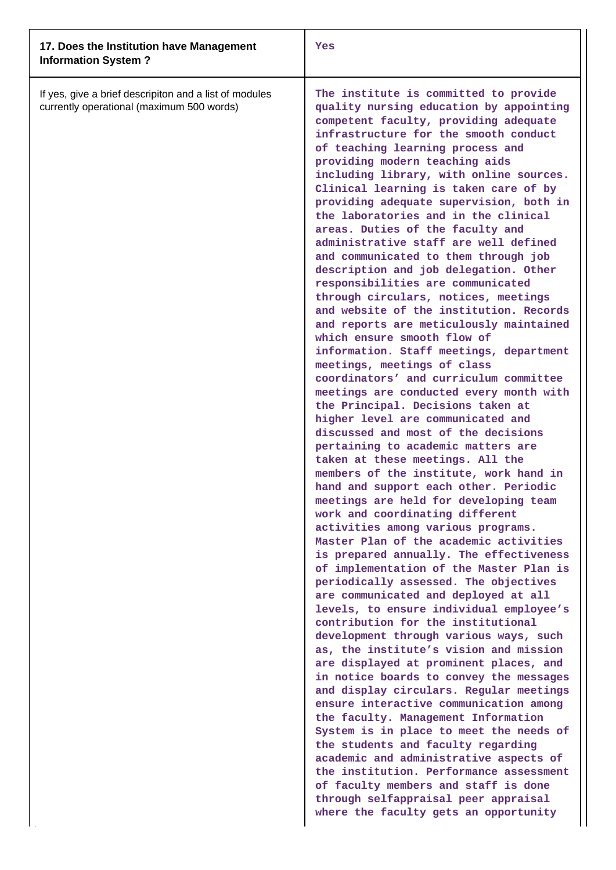| 17. Does the Institution have Management<br><b>Information System?</b>                              | Yes                                                                                                                                                                                                                                                                                                                                                                                                                                                                                                                                                                                                                                                                                                                                                                                                                                                                                                                                                                                                                                                                                                                                                                                                                                                                                                                                                                                                                                                                                                                                                                                                                                                                                                                                                                                                                                                                                                                                                                                                                                                                                                                                                                                                                                                  |
|-----------------------------------------------------------------------------------------------------|------------------------------------------------------------------------------------------------------------------------------------------------------------------------------------------------------------------------------------------------------------------------------------------------------------------------------------------------------------------------------------------------------------------------------------------------------------------------------------------------------------------------------------------------------------------------------------------------------------------------------------------------------------------------------------------------------------------------------------------------------------------------------------------------------------------------------------------------------------------------------------------------------------------------------------------------------------------------------------------------------------------------------------------------------------------------------------------------------------------------------------------------------------------------------------------------------------------------------------------------------------------------------------------------------------------------------------------------------------------------------------------------------------------------------------------------------------------------------------------------------------------------------------------------------------------------------------------------------------------------------------------------------------------------------------------------------------------------------------------------------------------------------------------------------------------------------------------------------------------------------------------------------------------------------------------------------------------------------------------------------------------------------------------------------------------------------------------------------------------------------------------------------------------------------------------------------------------------------------------------------|
| If yes, give a brief descripiton and a list of modules<br>currently operational (maximum 500 words) | The institute is committed to provide<br>quality nursing education by appointing<br>competent faculty, providing adequate<br>infrastructure for the smooth conduct<br>of teaching learning process and<br>providing modern teaching aids<br>including library, with online sources.<br>Clinical learning is taken care of by<br>providing adequate supervision, both in<br>the laboratories and in the clinical<br>areas. Duties of the faculty and<br>administrative staff are well defined<br>and communicated to them through job<br>description and job delegation. Other<br>responsibilities are communicated<br>through circulars, notices, meetings<br>and website of the institution. Records<br>and reports are meticulously maintained<br>which ensure smooth flow of<br>information. Staff meetings, department<br>meetings, meetings of class<br>coordinators' and curriculum committee<br>meetings are conducted every month with<br>the Principal. Decisions taken at<br>higher level are communicated and<br>discussed and most of the decisions<br>pertaining to academic matters are<br>taken at these meetings. All the<br>members of the institute, work hand in<br>hand and support each other. Periodic<br>meetings are held for developing team<br>work and coordinating different<br>activities among various programs.<br>Master Plan of the academic activities<br>is prepared annually. The effectiveness<br>of implementation of the Master Plan is<br>periodically assessed. The objectives<br>are communicated and deployed at all<br>levels, to ensure individual employee's<br>contribution for the institutional<br>development through various ways, such<br>as, the institute's vision and mission<br>are displayed at prominent places, and<br>in notice boards to convey the messages<br>and display circulars. Regular meetings<br>ensure interactive communication among<br>the faculty. Management Information<br>System is in place to meet the needs of<br>the students and faculty regarding<br>academic and administrative aspects of<br>the institution. Performance assessment<br>of faculty members and staff is done<br>through selfappraisal peer appraisal<br>where the faculty gets an opportunity |
|                                                                                                     |                                                                                                                                                                                                                                                                                                                                                                                                                                                                                                                                                                                                                                                                                                                                                                                                                                                                                                                                                                                                                                                                                                                                                                                                                                                                                                                                                                                                                                                                                                                                                                                                                                                                                                                                                                                                                                                                                                                                                                                                                                                                                                                                                                                                                                                      |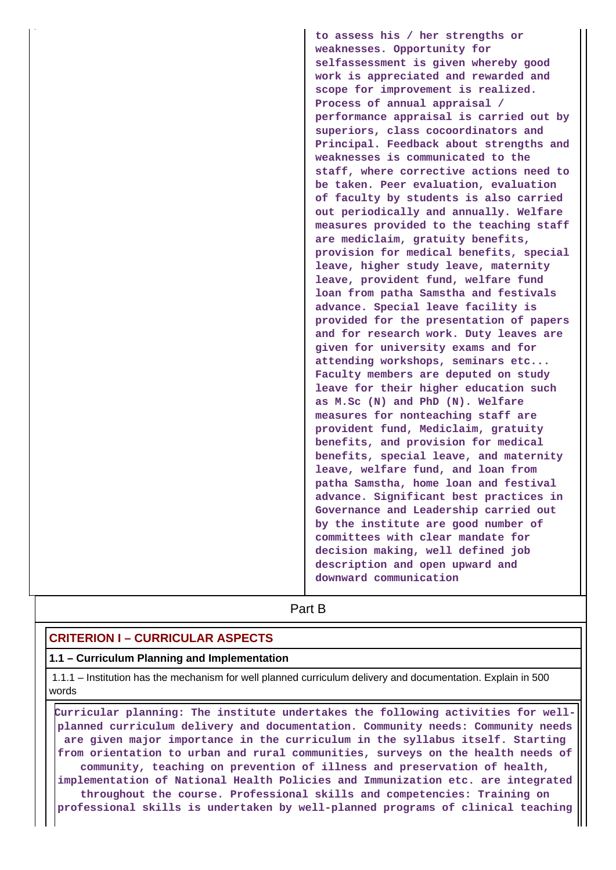**to assess his / her strengths or weaknesses. Opportunity for selfassessment is given whereby good work is appreciated and rewarded and scope for improvement is realized. Process of annual appraisal / performance appraisal is carried out by superiors, class cocoordinators and Principal. Feedback about strengths and weaknesses is communicated to the staff, where corrective actions need to be taken. Peer evaluation, evaluation of faculty by students is also carried out periodically and annually. Welfare measures provided to the teaching staff are mediclaim, gratuity benefits, provision for medical benefits, special leave, higher study leave, maternity leave, provident fund, welfare fund loan from patha Samstha and festivals advance. Special leave facility is provided for the presentation of papers and for research work. Duty leaves are given for university exams and for attending workshops, seminars etc... Faculty members are deputed on study leave for their higher education such as M.Sc (N) and PhD (N). Welfare measures for nonteaching staff are provident fund, Mediclaim, gratuity benefits, and provision for medical benefits, special leave, and maternity leave, welfare fund, and loan from patha Samstha, home loan and festival advance. Significant best practices in Governance and Leadership carried out by the institute are good number of committees with clear mandate for decision making, well defined job description and open upward and downward communication**

**Part B** 

# **CRITERION I – CURRICULAR ASPECTS**

#### **1.1 – Curriculum Planning and Implementation**

 1.1.1 – Institution has the mechanism for well planned curriculum delivery and documentation. Explain in 500 words

 **Curricular planning: The institute undertakes the following activities for wellplanned curriculum delivery and documentation. Community needs: Community needs are given major importance in the curriculum in the syllabus itself. Starting from orientation to urban and rural communities, surveys on the health needs of community, teaching on prevention of illness and preservation of health, implementation of National Health Policies and Immunization etc. are integrated throughout the course. Professional skills and competencies: Training on professional skills is undertaken by well-planned programs of clinical teaching**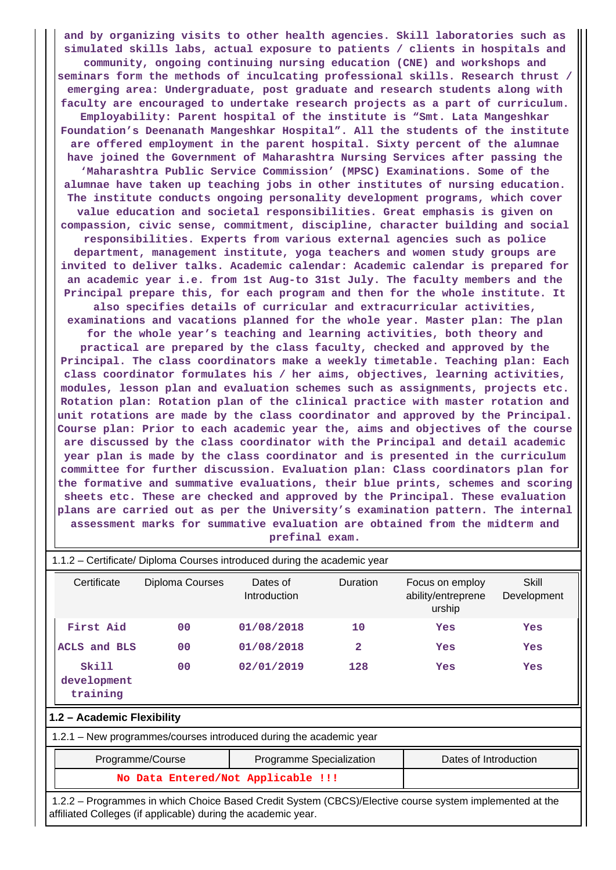**and by organizing visits to other health agencies. Skill laboratories such as simulated skills labs, actual exposure to patients / clients in hospitals and community, ongoing continuing nursing education (CNE) and workshops and seminars form the methods of inculcating professional skills. Research thrust / emerging area: Undergraduate, post graduate and research students along with faculty are encouraged to undertake research projects as a part of curriculum. Employability: Parent hospital of the institute is "Smt. Lata Mangeshkar Foundation's Deenanath Mangeshkar Hospital". All the students of the institute are offered employment in the parent hospital. Sixty percent of the alumnae have joined the Government of Maharashtra Nursing Services after passing the 'Maharashtra Public Service Commission' (MPSC) Examinations. Some of the alumnae have taken up teaching jobs in other institutes of nursing education. The institute conducts ongoing personality development programs, which cover value education and societal responsibilities. Great emphasis is given on compassion, civic sense, commitment, discipline, character building and social responsibilities. Experts from various external agencies such as police department, management institute, yoga teachers and women study groups are invited to deliver talks. Academic calendar: Academic calendar is prepared for an academic year i.e. from 1st Aug-to 31st July. The faculty members and the Principal prepare this, for each program and then for the whole institute. It also specifies details of curricular and extracurricular activities, examinations and vacations planned for the whole year. Master plan: The plan for the whole year's teaching and learning activities, both theory and practical are prepared by the class faculty, checked and approved by the Principal. The class coordinators make a weekly timetable. Teaching plan: Each class coordinator formulates his / her aims, objectives, learning activities, modules, lesson plan and evaluation schemes such as assignments, projects etc. Rotation plan: Rotation plan of the clinical practice with master rotation and unit rotations are made by the class coordinator and approved by the Principal. Course plan: Prior to each academic year the, aims and objectives of the course are discussed by the class coordinator with the Principal and detail academic year plan is made by the class coordinator and is presented in the curriculum committee for further discussion. Evaluation plan: Class coordinators plan for the formative and summative evaluations, their blue prints, schemes and scoring sheets etc. These are checked and approved by the Principal. These evaluation plans are carried out as per the University's examination pattern. The internal assessment marks for summative evaluation are obtained from the midterm and prefinal exam.**

| 1.1.2 – Certificate/ Diploma Courses introduced during the academic year                                |                 |                                 |                       |                                                 |                      |
|---------------------------------------------------------------------------------------------------------|-----------------|---------------------------------|-----------------------|-------------------------------------------------|----------------------|
| Certificate                                                                                             | Diploma Courses | Dates of<br><b>Introduction</b> | Duration              | Focus on employ<br>ability/entreprene<br>urship | Skill<br>Development |
| First Aid                                                                                               | 0 <sup>0</sup>  | 01/08/2018                      | 10                    | Yes                                             | Yes                  |
| ACLS and BLS                                                                                            | 0 <sup>0</sup>  | 01/08/2018                      | 2                     | Yes                                             | Yes                  |
| Skill<br>development<br>training                                                                        | 00              | 02/01/2019                      | 128                   | Yes                                             | Yes                  |
| 1.2 - Academic Flexibility                                                                              |                 |                                 |                       |                                                 |                      |
| 1.2.1 – New programmes/courses introduced during the academic year                                      |                 |                                 |                       |                                                 |                      |
| Programme/Course<br>Programme Specialization                                                            |                 |                                 | Dates of Introduction |                                                 |                      |
| No Data Entered/Not Applicable !!!                                                                      |                 |                                 |                       |                                                 |                      |
| 1.2.2 – Programmes in which Choice Based Credit System (CBCS)/Elective course system implemented at the |                 |                                 |                       |                                                 |                      |

affiliated Colleges (if applicable) during the academic year.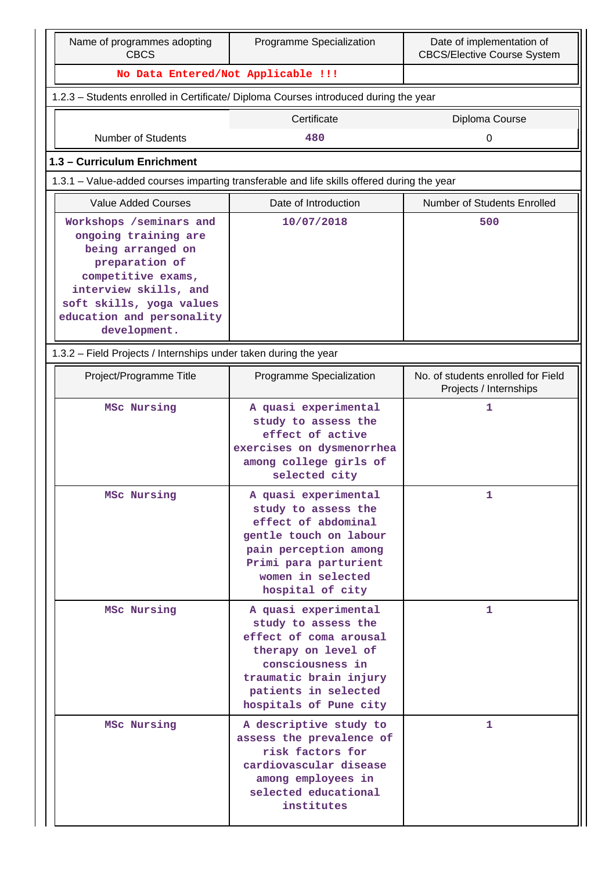| Name of programmes adopting<br>Programme Specialization<br><b>CBCS</b>                                                                                                              |                                                                                                                                                                                              | Date of implementation of<br><b>CBCS/Elective Course System</b> |  |  |  |  |  |
|-------------------------------------------------------------------------------------------------------------------------------------------------------------------------------------|----------------------------------------------------------------------------------------------------------------------------------------------------------------------------------------------|-----------------------------------------------------------------|--|--|--|--|--|
| No Data Entered/Not Applicable !!!                                                                                                                                                  |                                                                                                                                                                                              |                                                                 |  |  |  |  |  |
| 1.2.3 - Students enrolled in Certificate/ Diploma Courses introduced during the year                                                                                                |                                                                                                                                                                                              |                                                                 |  |  |  |  |  |
|                                                                                                                                                                                     | Certificate                                                                                                                                                                                  | Diploma Course                                                  |  |  |  |  |  |
| Number of Students                                                                                                                                                                  | 480                                                                                                                                                                                          | 0                                                               |  |  |  |  |  |
| 1.3 - Curriculum Enrichment                                                                                                                                                         |                                                                                                                                                                                              |                                                                 |  |  |  |  |  |
|                                                                                                                                                                                     | 1.3.1 – Value-added courses imparting transferable and life skills offered during the year                                                                                                   |                                                                 |  |  |  |  |  |
| <b>Value Added Courses</b>                                                                                                                                                          | Date of Introduction                                                                                                                                                                         | <b>Number of Students Enrolled</b>                              |  |  |  |  |  |
| Workshops /seminars and                                                                                                                                                             | 10/07/2018                                                                                                                                                                                   | 500                                                             |  |  |  |  |  |
| ongoing training are<br>being arranged on<br>preparation of<br>competitive exams,<br>interview skills, and<br>soft skills, yoga values<br>education and personality<br>development. |                                                                                                                                                                                              |                                                                 |  |  |  |  |  |
| 1.3.2 - Field Projects / Internships under taken during the year                                                                                                                    |                                                                                                                                                                                              |                                                                 |  |  |  |  |  |
| Project/Programme Title                                                                                                                                                             | Programme Specialization                                                                                                                                                                     | No. of students enrolled for Field<br>Projects / Internships    |  |  |  |  |  |
| MSc Nursing                                                                                                                                                                         | A quasi experimental<br>study to assess the<br>effect of active<br>exercises on dysmenorrhea<br>among college girls of<br>selected city                                                      | 1                                                               |  |  |  |  |  |
| MSc Nursing                                                                                                                                                                         | A quasi experimental<br>study to assess the<br>effect of abdominal<br>gentle touch on labour<br>pain perception among<br>Primi para parturient<br>women in selected<br>hospital of city      | 1                                                               |  |  |  |  |  |
| MSc Nursing                                                                                                                                                                         | A quasi experimental<br>study to assess the<br>effect of coma arousal<br>therapy on level of<br>consciousness in<br>traumatic brain injury<br>patients in selected<br>hospitals of Pune city | 1                                                               |  |  |  |  |  |
| MSc Nursing                                                                                                                                                                         | A descriptive study to<br>assess the prevalence of<br>risk factors for<br>cardiovascular disease<br>among employees in<br>selected educational<br>institutes                                 | $\mathbf{1}$                                                    |  |  |  |  |  |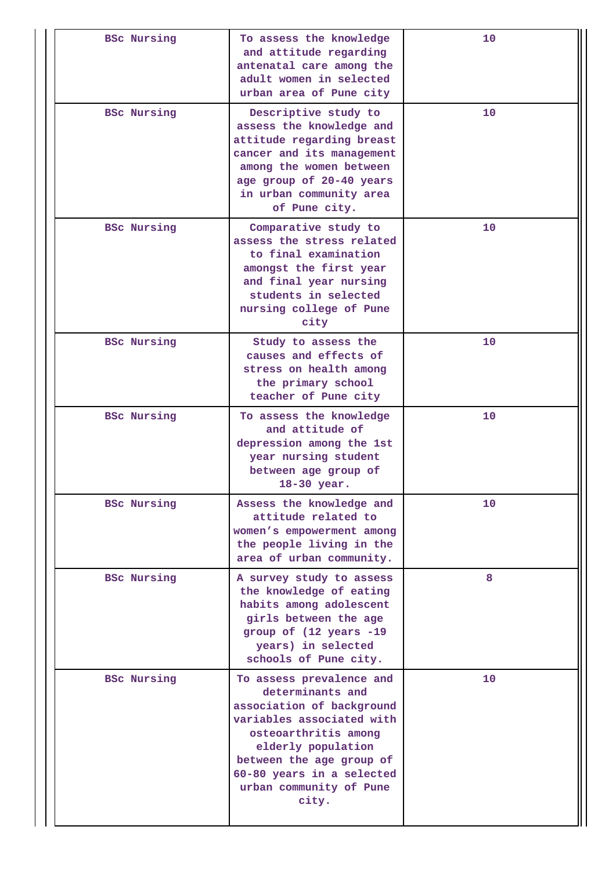| <b>BSc Nursing</b> | To assess the knowledge<br>and attitude regarding<br>antenatal care among the<br>adult women in selected<br>urban area of Pune city                                                                                                               | 10 |
|--------------------|---------------------------------------------------------------------------------------------------------------------------------------------------------------------------------------------------------------------------------------------------|----|
| <b>BSC Nursing</b> | Descriptive study to<br>assess the knowledge and<br>attitude regarding breast<br>cancer and its management<br>among the women between<br>age group of 20-40 years<br>in urban community area<br>of Pune city.                                     | 10 |
| <b>BSC Nursing</b> | Comparative study to<br>assess the stress related<br>to final examination<br>amongst the first year<br>and final year nursing<br>students in selected<br>nursing college of Pune<br>city                                                          | 10 |
| <b>BSc Nursing</b> | Study to assess the<br>causes and effects of<br>stress on health among<br>the primary school<br>teacher of Pune city                                                                                                                              | 10 |
| <b>BSC Nursing</b> | To assess the knowledge<br>and attitude of<br>depression among the 1st<br>year nursing student<br>between age group of<br>18-30 year.                                                                                                             | 10 |
| <b>BSC Nursing</b> | Assess the knowledge and<br>attitude related to<br>women's empowerment among<br>the people living in the<br>area of urban community.                                                                                                              | 10 |
| <b>BSC Nursing</b> | A survey study to assess<br>the knowledge of eating<br>habits among adolescent<br>girls between the age<br>group of (12 years -19<br>years) in selected<br>schools of Pune city.                                                                  | 8  |
| <b>BSC Nursing</b> | To assess prevalence and<br>determinants and<br>association of background<br>variables associated with<br>osteoarthritis among<br>elderly population<br>between the age group of<br>60-80 years in a selected<br>urban community of Pune<br>city. | 10 |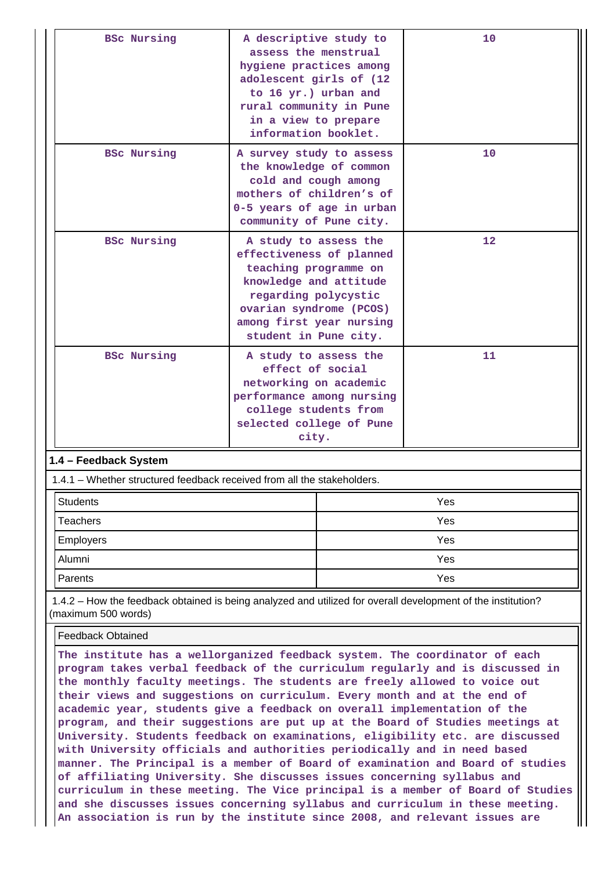| <b>BSC Nursing</b>                                                      | A descriptive study to<br>assess the menstrual<br>hygiene practices among<br>adolescent girls of (12<br>to 16 yr.) urban and<br>rural community in Pune<br>in a view to prepare<br>information booklet.      |     | 10  |  |  |
|-------------------------------------------------------------------------|--------------------------------------------------------------------------------------------------------------------------------------------------------------------------------------------------------------|-----|-----|--|--|
| <b>BSC Nursing</b>                                                      | A survey study to assess<br>the knowledge of common<br>cold and cough among<br>mothers of children's of<br>0-5 years of age in urban<br>community of Pune city.                                              |     | 10  |  |  |
| <b>BSC Nursing</b>                                                      | A study to assess the<br>effectiveness of planned<br>teaching programme on<br>knowledge and attitude<br>regarding polycystic<br>ovarian syndrome (PCOS)<br>among first year nursing<br>student in Pune city. |     | 12  |  |  |
| <b>BSc Nursing</b>                                                      | A study to assess the<br>effect of social<br>networking on academic<br>performance among nursing<br>college students from<br>selected college of Pune<br>city.                                               |     | 11  |  |  |
| 1.4 - Feedback System                                                   |                                                                                                                                                                                                              |     |     |  |  |
| 1.4.1 – Whether structured feedback received from all the stakeholders. |                                                                                                                                                                                                              |     |     |  |  |
| <b>Students</b>                                                         |                                                                                                                                                                                                              |     | Yes |  |  |
| Teachers                                                                |                                                                                                                                                                                                              | Yes |     |  |  |
| Employers                                                               |                                                                                                                                                                                                              | Yes |     |  |  |
| Alumni                                                                  |                                                                                                                                                                                                              |     | Yes |  |  |
| Parents                                                                 |                                                                                                                                                                                                              | Yes |     |  |  |

 1.4.2 – How the feedback obtained is being analyzed and utilized for overall development of the institution? (maximum 500 words)

Feedback Obtained

**The institute has a wellorganized feedback system. The coordinator of each program takes verbal feedback of the curriculum regularly and is discussed in the monthly faculty meetings. The students are freely allowed to voice out their views and suggestions on curriculum. Every month and at the end of academic year, students give a feedback on overall implementation of the program, and their suggestions are put up at the Board of Studies meetings at University. Students feedback on examinations, eligibility etc. are discussed with University officials and authorities periodically and in need based manner. The Principal is a member of Board of examination and Board of studies of affiliating University. She discusses issues concerning syllabus and curriculum in these meeting. The Vice principal is a member of Board of Studies and she discusses issues concerning syllabus and curriculum in these meeting. An association is run by the institute since 2008, and relevant issues are**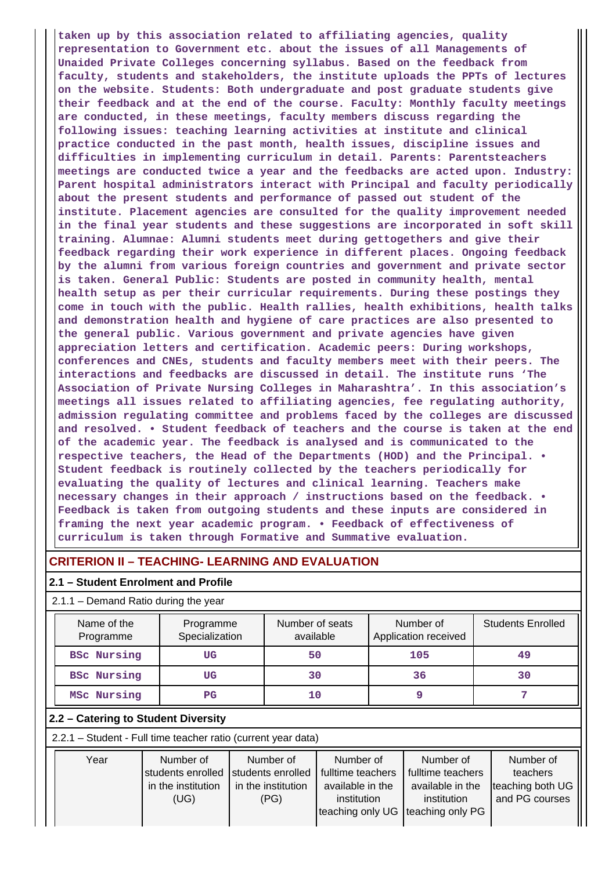**taken up by this association related to affiliating agencies, quality representation to Government etc. about the issues of all Managements of Unaided Private Colleges concerning syllabus. Based on the feedback from faculty, students and stakeholders, the institute uploads the PPTs of lectures on the website. Students: Both undergraduate and post graduate students give their feedback and at the end of the course. Faculty: Monthly faculty meetings are conducted, in these meetings, faculty members discuss regarding the following issues: teaching learning activities at institute and clinical practice conducted in the past month, health issues, discipline issues and difficulties in implementing curriculum in detail. Parents: Parentsteachers meetings are conducted twice a year and the feedbacks are acted upon. Industry: Parent hospital administrators interact with Principal and faculty periodically about the present students and performance of passed out student of the institute. Placement agencies are consulted for the quality improvement needed in the final year students and these suggestions are incorporated in soft skill training. Alumnae: Alumni students meet during gettogethers and give their feedback regarding their work experience in different places. Ongoing feedback by the alumni from various foreign countries and government and private sector is taken. General Public: Students are posted in community health, mental health setup as per their curricular requirements. During these postings they come in touch with the public. Health rallies, health exhibitions, health talks and demonstration health and hygiene of care practices are also presented to the general public. Various government and private agencies have given appreciation letters and certification. Academic peers: During workshops, conferences and CNEs, students and faculty members meet with their peers. The interactions and feedbacks are discussed in detail. The institute runs 'The Association of Private Nursing Colleges in Maharashtra'. In this association's meetings all issues related to affiliating agencies, fee regulating authority, admission regulating committee and problems faced by the colleges are discussed and resolved. • Student feedback of teachers and the course is taken at the end of the academic year. The feedback is analysed and is communicated to the respective teachers, the Head of the Departments (HOD) and the Principal. • Student feedback is routinely collected by the teachers periodically for evaluating the quality of lectures and clinical learning. Teachers make necessary changes in their approach / instructions based on the feedback. • Feedback is taken from outgoing students and these inputs are considered in framing the next year academic program. • Feedback of effectiveness of curriculum is taken through Formative and Summative evaluation.**

# **CRITERION II – TEACHING- LEARNING AND EVALUATION**

#### **2.1 – Student Enrolment and Profile**

#### 2.1.1 – Demand Ratio during the year

| Name of the<br>Programme | Programme<br>Specialization | Number of seats<br>available | Number of<br>Application received | <b>Students Enrolled</b> |
|--------------------------|-----------------------------|------------------------------|-----------------------------------|--------------------------|
| <b>BSc Nursing</b>       | UG                          | 50                           | 105                               | 49                       |
| <b>BSc Nursing</b>       | UG                          | 30                           | 36                                | 30                       |
| MSc Nursing              | $_{\rm PG}$                 | 10                           |                                   |                          |

#### **2.2 – Catering to Student Diversity**

2.2.1 – Student - Full time teacher ratio (current year data)

| Year | Number of<br>Istudents enrolled<br>in the institution<br>(UG) | Number of<br>students enrolled<br>in the institution<br>(PG) | Number of<br>fulltime teachers<br>available in the<br>institution | Number of<br>fulltime teachers<br>available in the<br>institution | Number of<br>teachers<br>teaching both UG<br>and PG courses |
|------|---------------------------------------------------------------|--------------------------------------------------------------|-------------------------------------------------------------------|-------------------------------------------------------------------|-------------------------------------------------------------|
|      |                                                               |                                                              | teaching only UG teaching only PG                                 |                                                                   |                                                             |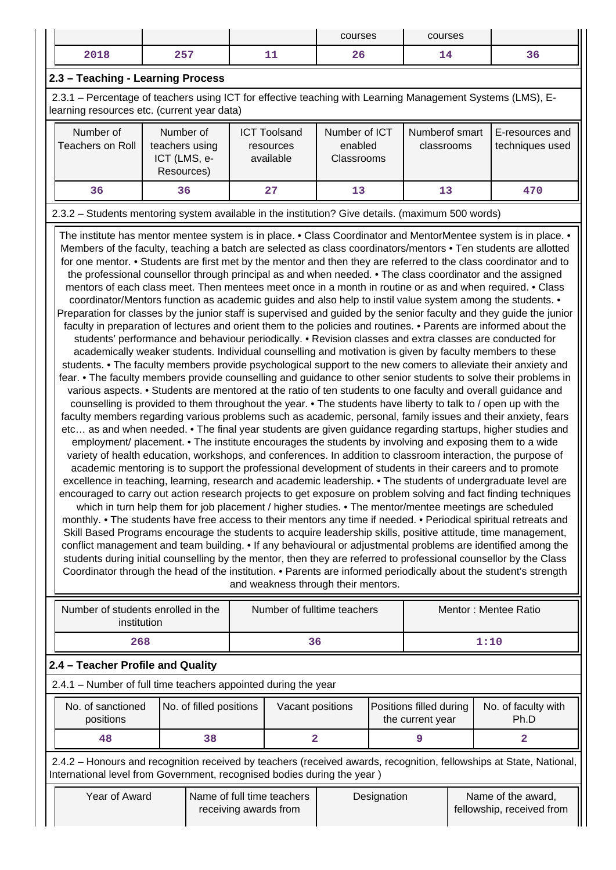|      |            | courses        | courses |      |
|------|------------|----------------|---------|------|
| 2018 | 257<br>، ب | -<br>- -<br>▵◡ | - -     | -၁ с |

# **2.3 – Teaching - Learning Process**

 2.3.1 – Percentage of teachers using ICT for effective teaching with Learning Management Systems (LMS), Elearning resources etc. (current year data)

| Number of<br>Teachers on Roll | Number of<br>teachers using<br>ICT (LMS, e-<br>Resources) | <b>ICT Toolsand</b><br>resources<br>available | Number of ICT<br>enabled<br><b>Classrooms</b> | Numberof smart<br>classrooms | E-resources and<br>techniques used |
|-------------------------------|-----------------------------------------------------------|-----------------------------------------------|-----------------------------------------------|------------------------------|------------------------------------|
| 36                            | 36                                                        | 27                                            | 13                                            | 13                           | 470                                |

# 2.3.2 – Students mentoring system available in the institution? Give details. (maximum 500 words)

The institute has mentor mentee system is in place. • Class Coordinator and MentorMentee system is in place. • Members of the faculty, teaching a batch are selected as class coordinators/mentors • Ten students are allotted for one mentor. • Students are first met by the mentor and then they are referred to the class coordinator and to the professional counsellor through principal as and when needed. • The class coordinator and the assigned mentors of each class meet. Then mentees meet once in a month in routine or as and when required. • Class coordinator/Mentors function as academic guides and also help to instil value system among the students. • Preparation for classes by the junior staff is supervised and guided by the senior faculty and they guide the junior faculty in preparation of lectures and orient them to the policies and routines. • Parents are informed about the students' performance and behaviour periodically. • Revision classes and extra classes are conducted for academically weaker students. Individual counselling and motivation is given by faculty members to these students. • The faculty members provide psychological support to the new comers to alleviate their anxiety and fear. • The faculty members provide counselling and guidance to other senior students to solve their problems in various aspects. • Students are mentored at the ratio of ten students to one faculty and overall guidance and counselling is provided to them throughout the year. • The students have liberty to talk to / open up with the faculty members regarding various problems such as academic, personal, family issues and their anxiety, fears etc… as and when needed. • The final year students are given guidance regarding startups, higher studies and employment/ placement. • The institute encourages the students by involving and exposing them to a wide variety of health education, workshops, and conferences. In addition to classroom interaction, the purpose of academic mentoring is to support the professional development of students in their careers and to promote excellence in teaching, learning, research and academic leadership. • The students of undergraduate level are encouraged to carry out action research projects to get exposure on problem solving and fact finding techniques which in turn help them for job placement / higher studies. • The mentor/mentee meetings are scheduled monthly. • The students have free access to their mentors any time if needed. • Periodical spiritual retreats and Skill Based Programs encourage the students to acquire leadership skills, positive attitude, time management, conflict management and team building. • If any behavioural or adjustmental problems are identified among the students during initial counselling by the mentor, then they are referred to professional counsellor by the Class Coordinator through the head of the institution. • Parents are informed periodically about the student's strength and weakness through their mentors.

| Number of students enrolled in the<br>institution                                                                                                                                              | Number of fulltime teachers |                                                     |    | Mentor: Mentee Ratio                        |  |      |                                                 |   |
|------------------------------------------------------------------------------------------------------------------------------------------------------------------------------------------------|-----------------------------|-----------------------------------------------------|----|---------------------------------------------|--|------|-------------------------------------------------|---|
| 268                                                                                                                                                                                            |                             |                                                     | 36 |                                             |  | 1:10 |                                                 |   |
| 2.4 - Teacher Profile and Quality                                                                                                                                                              |                             |                                                     |    |                                             |  |      |                                                 |   |
| 2.4.1 – Number of full time teachers appointed during the year                                                                                                                                 |                             |                                                     |    |                                             |  |      |                                                 |   |
| No. of sanctioned<br>positions                                                                                                                                                                 | No. of filled positions     | Vacant positions                                    |    | Positions filled during<br>the current year |  |      | No. of faculty with<br>Ph.D                     |   |
| 48                                                                                                                                                                                             | 38                          |                                                     | 2  |                                             |  | 9    |                                                 | 2 |
| 2.4.2 – Honours and recognition received by teachers (received awards, recognition, fellowships at State, National,<br>International level from Government, recognised bodies during the year) |                             |                                                     |    |                                             |  |      |                                                 |   |
| Year of Award                                                                                                                                                                                  |                             | Name of full time teachers<br>receiving awards from |    | Designation                                 |  |      | Name of the award,<br>fellowship, received from |   |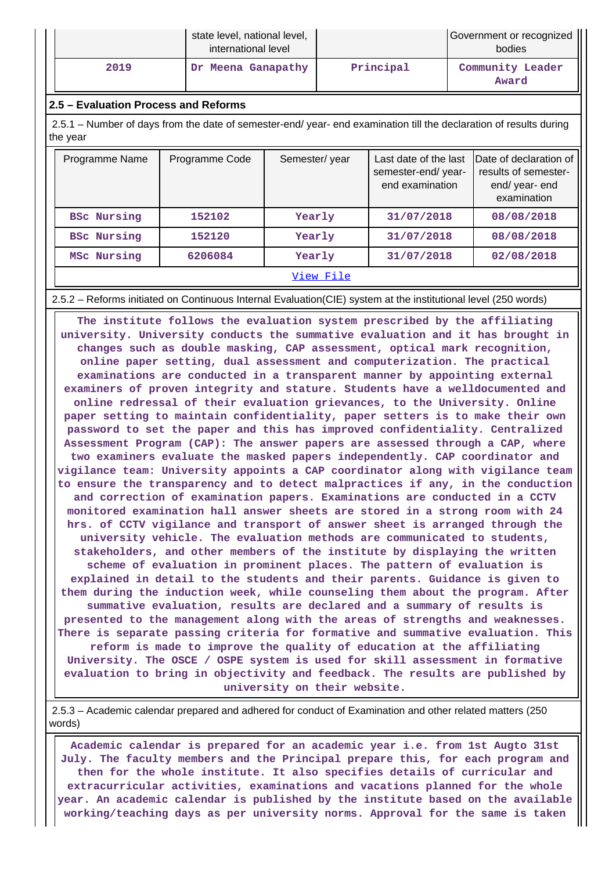|      | state level, national level,<br>international level |           | Government or recognized<br>bodies |  |  |
|------|-----------------------------------------------------|-----------|------------------------------------|--|--|
| 2019 | Dr Meena Ganapathy                                  | Principal | Community Leader<br>Award          |  |  |

#### **2.5 – Evaluation Process and Reforms**

 2.5.1 – Number of days from the date of semester-end/ year- end examination till the declaration of results during the year

| Programme Name         | Programme Code | Semester/year | Last date of the last<br>semester-end/year-<br>end examination | Date of declaration of<br>results of semester-<br>end/year-end<br>examination |  |
|------------------------|----------------|---------------|----------------------------------------------------------------|-------------------------------------------------------------------------------|--|
| <b>BSc Nursing</b>     | 152102         | Yearly        | 31/07/2018                                                     | 08/08/2018                                                                    |  |
| <b>BSc Nursing</b>     | 152120         | Yearly        | 31/07/2018                                                     | 08/08/2018                                                                    |  |
| MSc Nursing<br>6206084 |                | Yearly        | 31/07/2018                                                     | 02/08/2018                                                                    |  |
|                        |                |               |                                                                |                                                                               |  |

2.5.2 – Reforms initiated on Continuous Internal Evaluation(CIE) system at the institutional level (250 words)

 **The institute follows the evaluation system prescribed by the affiliating university. University conducts the summative evaluation and it has brought in changes such as double masking, CAP assessment, optical mark recognition, online paper setting, dual assessment and computerization. The practical examinations are conducted in a transparent manner by appointing external examiners of proven integrity and stature. Students have a welldocumented and online redressal of their evaluation grievances, to the University. Online paper setting to maintain confidentiality, paper setters is to make their own password to set the paper and this has improved confidentiality. Centralized Assessment Program (CAP): The answer papers are assessed through a CAP, where two examiners evaluate the masked papers independently. CAP coordinator and vigilance team: University appoints a CAP coordinator along with vigilance team to ensure the transparency and to detect malpractices if any, in the conduction and correction of examination papers. Examinations are conducted in a CCTV monitored examination hall answer sheets are stored in a strong room with 24 hrs. of CCTV vigilance and transport of answer sheet is arranged through the university vehicle. The evaluation methods are communicated to students, stakeholders, and other members of the institute by displaying the written scheme of evaluation in prominent places. The pattern of evaluation is explained in detail to the students and their parents. Guidance is given to them during the induction week, while counseling them about the program. After summative evaluation, results are declared and a summary of results is presented to the management along with the areas of strengths and weaknesses. There is separate passing criteria for formative and summative evaluation. This reform is made to improve the quality of education at the affiliating University. The OSCE / OSPE system is used for skill assessment in formative evaluation to bring in objectivity and feedback. The results are published by university on their website.**

 2.5.3 – Academic calendar prepared and adhered for conduct of Examination and other related matters (250 words)

 **Academic calendar is prepared for an academic year i.e. from 1st Augto 31st July. The faculty members and the Principal prepare this, for each program and then for the whole institute. It also specifies details of curricular and extracurricular activities, examinations and vacations planned for the whole year. An academic calendar is published by the institute based on the available working/teaching days as per university norms. Approval for the same is taken**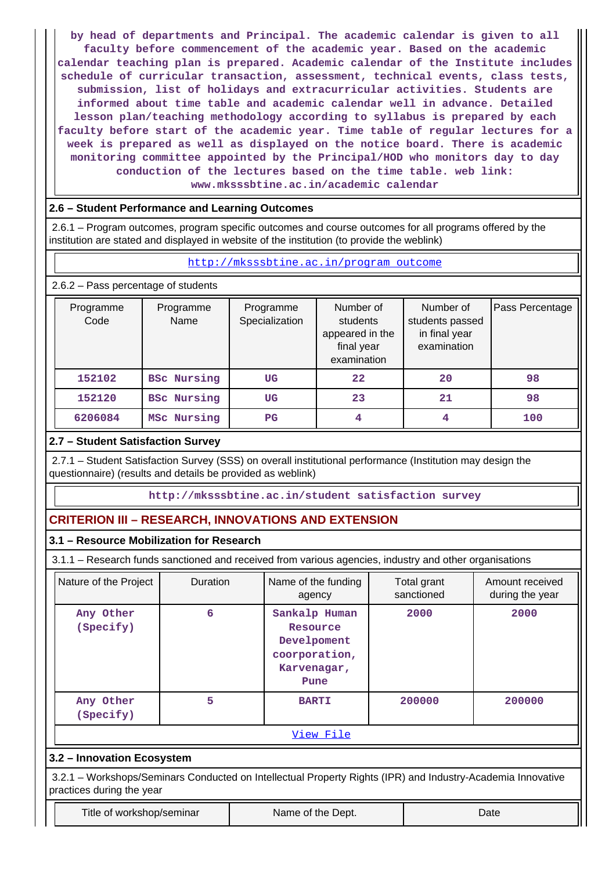**by head of departments and Principal. The academic calendar is given to all faculty before commencement of the academic year. Based on the academic calendar teaching plan is prepared. Academic calendar of the Institute includes schedule of curricular transaction, assessment, technical events, class tests, submission, list of holidays and extracurricular activities. Students are informed about time table and academic calendar well in advance. Detailed lesson plan/teaching methodology according to syllabus is prepared by each faculty before start of the academic year. Time table of regular lectures for a week is prepared as well as displayed on the notice board. There is academic monitoring committee appointed by the Principal/HOD who monitors day to day conduction of the lectures based on the time table. web link: www.mksssbtine.ac.in/academic calendar**

# **2.6 – Student Performance and Learning Outcomes**

 2.6.1 – Program outcomes, program specific outcomes and course outcomes for all programs offered by the institution are stated and displayed in website of the institution (to provide the weblink)

## <http://mksssbtine.ac.in/program outcome>

2.6.2 – Pass percentage of students

| Programme<br>Code | Programme<br>Name  | Programme<br>Specialization | Number of<br>students<br>appeared in the<br>final year<br>examination | Number of<br>students passed<br>in final year<br>examination | Pass Percentage |
|-------------------|--------------------|-----------------------------|-----------------------------------------------------------------------|--------------------------------------------------------------|-----------------|
| 152102            | <b>BSC Nursing</b> | UG                          | $22 \,$                                                               | 20                                                           | 98              |
| 152120            | <b>BSC Nursing</b> |                             | 23                                                                    | 21                                                           | 98              |
| 6206084           | MSc Nursing        | $_{\rm PG}$                 | 4                                                                     | 4                                                            | 100             |

# **2.7 – Student Satisfaction Survey**

 2.7.1 – Student Satisfaction Survey (SSS) on overall institutional performance (Institution may design the questionnaire) (results and details be provided as weblink)

**http://mksssbtine.ac.in/student satisfaction survey**

# **CRITERION III – RESEARCH, INNOVATIONS AND EXTENSION**

## **3.1 – Resource Mobilization for Research**

3.1.1 – Research funds sanctioned and received from various agencies, industry and other organisations

| Nature of the Project                                                                                       | Duration | Name of the funding<br>agency                                                    | Total grant<br>sanctioned | Amount received<br>during the year |  |  |  |  |
|-------------------------------------------------------------------------------------------------------------|----------|----------------------------------------------------------------------------------|---------------------------|------------------------------------|--|--|--|--|
| Any Other<br>(Specify)                                                                                      | 6        | Sankalp Human<br>Resource<br>Develpoment<br>coorporation,<br>Karvenagar,<br>Pune | 2000                      | 2000                               |  |  |  |  |
| Any Other<br>(Specify)                                                                                      | 5        | <b>BARTI</b>                                                                     | 200000                    | 200000                             |  |  |  |  |
| View File                                                                                                   |          |                                                                                  |                           |                                    |  |  |  |  |
| 3.2 - Innovation Ecosystem                                                                                  |          |                                                                                  |                           |                                    |  |  |  |  |
| 3.2.1 – Workshops/Seminars Conducted on Intellectual Property Rights (IPR) and Industry-Academia Innovative |          |                                                                                  |                           |                                    |  |  |  |  |

practices during the year

Title of workshop/seminar The Name of the Dept. The Name of the Dept.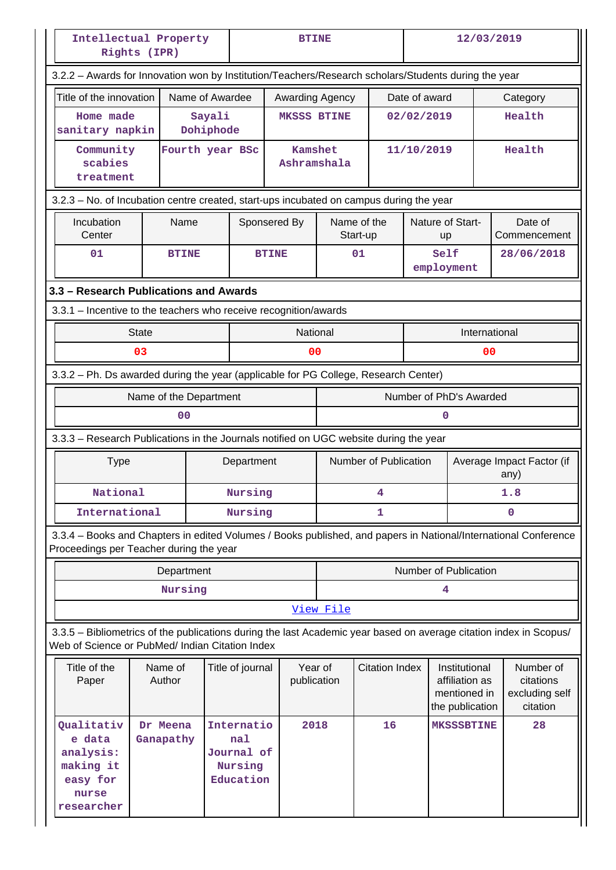|                                                                                                                                                                       | Intellectual Property<br>Rights (IPR)                                               |                     |                                                         |                                     | <b>BTINE</b>                                                       |                         |                                                      | 12/03/2019                    |                                   |                         |
|-----------------------------------------------------------------------------------------------------------------------------------------------------------------------|-------------------------------------------------------------------------------------|---------------------|---------------------------------------------------------|-------------------------------------|--------------------------------------------------------------------|-------------------------|------------------------------------------------------|-------------------------------|-----------------------------------|-------------------------|
| 3.2.2 - Awards for Innovation won by Institution/Teachers/Research scholars/Students during the year                                                                  |                                                                                     |                     |                                                         |                                     |                                                                    |                         |                                                      |                               |                                   |                         |
| Title of the innovation                                                                                                                                               |                                                                                     | Name of Awardee     |                                                         |                                     | Awarding Agency                                                    |                         | Date of award                                        |                               |                                   | Category                |
| Home made<br>sanitary napkin                                                                                                                                          |                                                                                     | Sayali<br>Dohiphode |                                                         | <b>MKSSS BTINE</b>                  |                                                                    |                         | 02/02/2019                                           |                               |                                   | Health                  |
| Community<br>scabies<br>treatment                                                                                                                                     |                                                                                     | Fourth year BSc     |                                                         |                                     | <b>Kamshet</b><br>Ashramshala                                      |                         | 11/10/2019                                           |                               |                                   | Health                  |
| 3.2.3 – No. of Incubation centre created, start-ups incubated on campus during the year                                                                               |                                                                                     |                     |                                                         |                                     |                                                                    |                         |                                                      |                               |                                   |                         |
| Incubation<br>Center                                                                                                                                                  | Name                                                                                |                     |                                                         | Sponsered By                        |                                                                    | Name of the<br>Start-up |                                                      | Nature of Start-<br><b>up</b> |                                   | Date of<br>Commencement |
| 01                                                                                                                                                                    | <b>BTINE</b>                                                                        |                     |                                                         | <b>BTINE</b>                        |                                                                    | 01                      |                                                      | Self<br>employment            |                                   | 28/06/2018              |
|                                                                                                                                                                       | 3.3 - Research Publications and Awards                                              |                     |                                                         |                                     |                                                                    |                         |                                                      |                               |                                   |                         |
| 3.3.1 - Incentive to the teachers who receive recognition/awards                                                                                                      |                                                                                     |                     |                                                         |                                     |                                                                    |                         |                                                      |                               |                                   |                         |
|                                                                                                                                                                       | <b>State</b>                                                                        |                     |                                                         |                                     | National                                                           |                         |                                                      | International                 |                                   |                         |
|                                                                                                                                                                       | 03                                                                                  |                     |                                                         |                                     | 00<br>00                                                           |                         |                                                      |                               |                                   |                         |
|                                                                                                                                                                       | 3.3.2 - Ph. Ds awarded during the year (applicable for PG College, Research Center) |                     |                                                         |                                     |                                                                    |                         |                                                      |                               |                                   |                         |
|                                                                                                                                                                       | Name of the Department                                                              |                     |                                                         |                                     |                                                                    |                         |                                                      | Number of PhD's Awarded       |                                   |                         |
|                                                                                                                                                                       | 00                                                                                  |                     |                                                         |                                     |                                                                    |                         |                                                      | n                             |                                   |                         |
| 3.3.3 - Research Publications in the Journals notified on UGC website during the year                                                                                 |                                                                                     |                     |                                                         |                                     |                                                                    |                         |                                                      |                               |                                   |                         |
| <b>Type</b>                                                                                                                                                           |                                                                                     |                     |                                                         | Number of Publication<br>Department |                                                                    |                         |                                                      |                               | Average Impact Factor (if<br>any) |                         |
| National                                                                                                                                                              |                                                                                     |                     | Nursing<br>4                                            |                                     |                                                                    |                         |                                                      |                               | 1.8                               |                         |
| International                                                                                                                                                         |                                                                                     |                     | Nursing                                                 | 1                                   |                                                                    |                         | 0                                                    |                               |                                   |                         |
| 3.3.4 - Books and Chapters in edited Volumes / Books published, and papers in National/International Conference<br>Proceedings per Teacher during the year            |                                                                                     |                     |                                                         |                                     |                                                                    |                         |                                                      |                               |                                   |                         |
|                                                                                                                                                                       | Department                                                                          |                     |                                                         |                                     |                                                                    |                         |                                                      | Number of Publication         |                                   |                         |
|                                                                                                                                                                       | Nursing                                                                             |                     |                                                         |                                     |                                                                    |                         |                                                      | 4                             |                                   |                         |
|                                                                                                                                                                       |                                                                                     |                     |                                                         |                                     | View File                                                          |                         |                                                      |                               |                                   |                         |
| 3.3.5 - Bibliometrics of the publications during the last Academic year based on average citation index in Scopus/<br>Web of Science or PubMed/ Indian Citation Index |                                                                                     |                     |                                                         |                                     |                                                                    |                         |                                                      |                               |                                   |                         |
| Title of the<br>Paper                                                                                                                                                 | Name of<br>Year of<br>Title of journal<br>Author<br>publication                     |                     | <b>Citation Index</b>                                   |                                     | Institutional<br>affiliation as<br>mentioned in<br>the publication |                         | Number of<br>citations<br>excluding self<br>citation |                               |                                   |                         |
| Qualitativ<br>e data<br>analysis:<br>making it<br>easy for<br>nurse<br>researcher                                                                                     | Dr Meena<br>Ganapathy                                                               |                     | Internatio<br>nal<br>Journal of<br>Nursing<br>Education |                                     | 2018                                                               | 16                      |                                                      | <b>MKSSSBTINE</b>             |                                   | 28                      |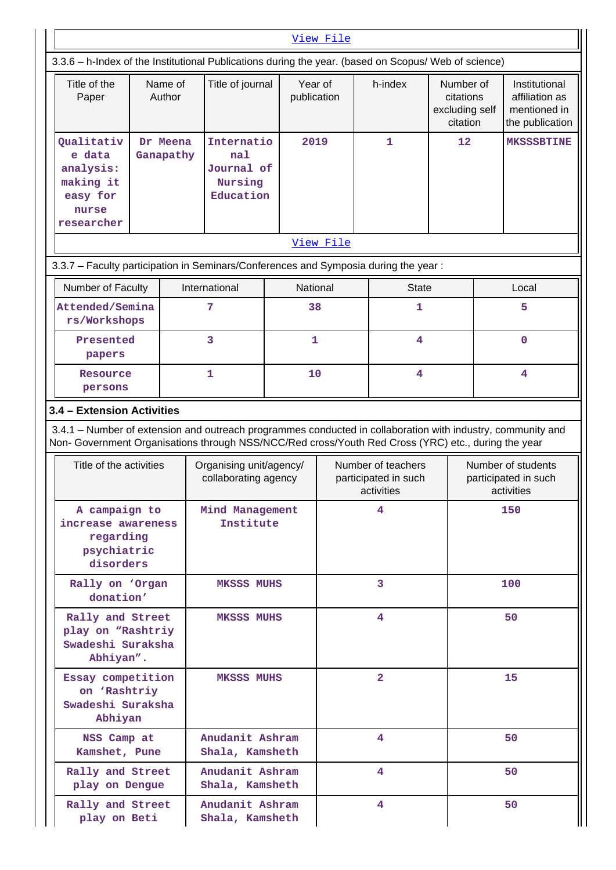|                              |                                                                                                            |                                    |                                                                                                                                                                                                                    |                                                 | View File |                                                          |                                                      |                                                          |                                                                    |  |
|------------------------------|------------------------------------------------------------------------------------------------------------|------------------------------------|--------------------------------------------------------------------------------------------------------------------------------------------------------------------------------------------------------------------|-------------------------------------------------|-----------|----------------------------------------------------------|------------------------------------------------------|----------------------------------------------------------|--------------------------------------------------------------------|--|
|                              |                                                                                                            |                                    | 3.3.6 - h-Index of the Institutional Publications during the year. (based on Scopus/ Web of science)                                                                                                               |                                                 |           |                                                          |                                                      |                                                          |                                                                    |  |
|                              | Title of the<br>Paper                                                                                      | Name of<br>Author                  | Title of journal                                                                                                                                                                                                   | Year of<br>publication                          |           | h-index                                                  | Number of<br>citations<br>excluding self<br>citation |                                                          | Institutional<br>affiliation as<br>mentioned in<br>the publication |  |
|                              | Oualitativ<br>Dr Meena<br>e data<br>Ganapathy<br>analysis:<br>making it<br>easy for<br>nurse<br>researcher |                                    | Internatio<br>na1<br>Journal of<br>Nursing<br>Education                                                                                                                                                            | 2019                                            |           | $\mathbf{1}$                                             |                                                      |                                                          | <b>MKSSSBTINE</b>                                                  |  |
|                              |                                                                                                            |                                    |                                                                                                                                                                                                                    |                                                 | View File |                                                          |                                                      |                                                          |                                                                    |  |
|                              |                                                                                                            |                                    | 3.3.7 - Faculty participation in Seminars/Conferences and Symposia during the year:                                                                                                                                |                                                 |           |                                                          |                                                      |                                                          |                                                                    |  |
|                              | Number of Faculty<br>Attended/Semina                                                                       |                                    | International<br>7                                                                                                                                                                                                 | National<br>38                                  |           | <b>State</b><br>1                                        |                                                      |                                                          | Local<br>5                                                         |  |
|                              | rs/Workshops                                                                                               |                                    |                                                                                                                                                                                                                    |                                                 |           |                                                          |                                                      |                                                          |                                                                    |  |
|                              | Presented<br>papers                                                                                        |                                    | 3                                                                                                                                                                                                                  | $\mathbf{1}$                                    |           | 4                                                        |                                                      |                                                          | $\mathbf 0$                                                        |  |
|                              | Resource<br>persons                                                                                        |                                    | 1                                                                                                                                                                                                                  | 10                                              | 4         |                                                          |                                                      | $\overline{4}$                                           |                                                                    |  |
|                              | 3.4 - Extension Activities                                                                                 |                                    |                                                                                                                                                                                                                    |                                                 |           |                                                          |                                                      |                                                          |                                                                    |  |
|                              |                                                                                                            |                                    | 3.4.1 – Number of extension and outreach programmes conducted in collaboration with industry, community and<br>Non- Government Organisations through NSS/NCC/Red cross/Youth Red Cross (YRC) etc., during the year |                                                 |           |                                                          |                                                      |                                                          |                                                                    |  |
|                              | Title of the activities                                                                                    |                                    |                                                                                                                                                                                                                    | Organising unit/agency/<br>collaborating agency |           | Number of teachers<br>participated in such<br>activities |                                                      | Number of students<br>participated in such<br>activities |                                                                    |  |
|                              | A campaign to<br>increase awareness<br>regarding<br>psychiatric<br>disorders                               |                                    | Mind Management<br>Institute                                                                                                                                                                                       |                                                 | 4         |                                                          |                                                      | 150                                                      |                                                                    |  |
|                              | Rally on 'Organ<br>donation'                                                                               |                                    | <b>MKSSS MUHS</b>                                                                                                                                                                                                  |                                                 |           | 3                                                        |                                                      |                                                          | 100                                                                |  |
|                              | Rally and Street<br>play on "Rashtriy<br>Swadeshi Suraksha<br>Abhiyan".                                    |                                    | <b>MKSSS MUHS</b>                                                                                                                                                                                                  |                                                 |           | 4                                                        |                                                      |                                                          | 50                                                                 |  |
|                              | Essay competition<br>on 'Rashtriy<br>Swadeshi Suraksha<br>Abhiyan                                          |                                    | <b>MKSSS MUHS</b>                                                                                                                                                                                                  |                                                 |           | $\overline{2}$                                           |                                                      |                                                          | 15                                                                 |  |
| NSS Camp at<br>Kamshet, Pune |                                                                                                            | Anudanit Ashram<br>Shala, Kamsheth |                                                                                                                                                                                                                    | 4                                               |           |                                                          | 50                                                   |                                                          |                                                                    |  |
|                              | Rally and Street<br>play on Dengue                                                                         |                                    | Anudanit Ashram<br>Shala, Kamsheth                                                                                                                                                                                 |                                                 |           | 4                                                        |                                                      | 50                                                       |                                                                    |  |
|                              | Rally and Street<br>play on Beti                                                                           |                                    | Anudanit Ashram<br>Shala, Kamsheth                                                                                                                                                                                 |                                                 |           | 4                                                        |                                                      | 50                                                       |                                                                    |  |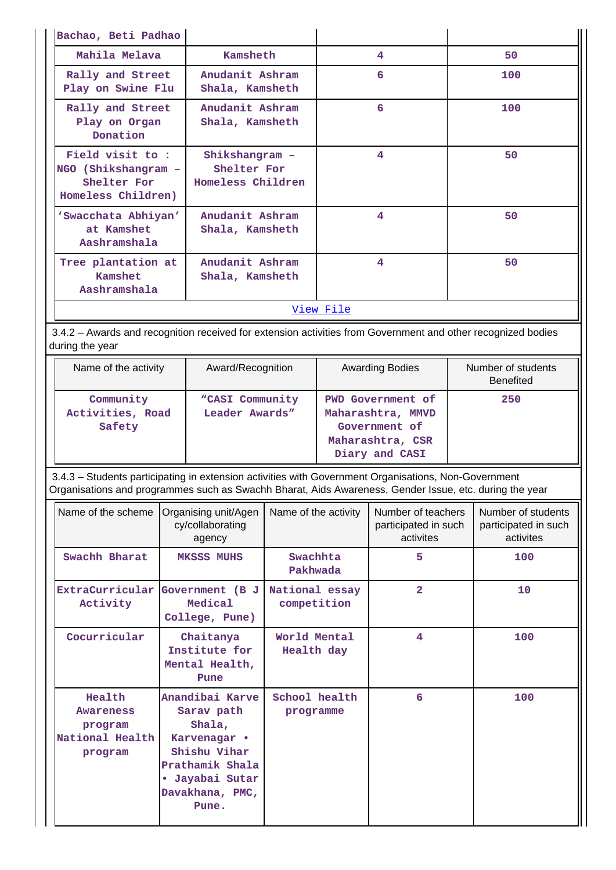| Bachao, Beti Padhao                                                         |                                                    |   |     |  |  |
|-----------------------------------------------------------------------------|----------------------------------------------------|---|-----|--|--|
| Mahila Melava                                                               | Kamsheth                                           | 4 | 50  |  |  |
| Rally and Street<br>Play on Swine Flu                                       | Anudanit Ashram<br>Shala, Kamsheth                 | 6 | 100 |  |  |
| Rally and Street<br>Play on Organ<br>Donation                               | Anudanit Ashram<br>Shala, Kamsheth                 | 6 | 100 |  |  |
| Field visit to:<br>NGO (Shikshangram -<br>Shelter For<br>Homeless Children) | Shikshangram -<br>Shelter For<br>Homeless Children | 4 | 50  |  |  |
| 'Swacchata Abhiyan'<br>at Kamshet<br>Aashramshala                           | Anudanit Ashram<br>Shala, Kamsheth                 | 4 | 50  |  |  |
| Tree plantation at<br>Kamshet<br>Aashramshala                               | Anudanit Ashram<br>Shala, Kamsheth                 | 4 | 50  |  |  |
| View File                                                                   |                                                    |   |     |  |  |

 3.4.2 – Awards and recognition received for extension activities from Government and other recognized bodies during the year

| Name of the activity                    | Award/Recognition                 | <b>Awarding Bodies</b>                                                                               | Number of students<br><b>Benefited</b> |
|-----------------------------------------|-----------------------------------|------------------------------------------------------------------------------------------------------|----------------------------------------|
| Community<br>Activities, Road<br>Safety | "CASI Community<br>Leader Awards" | <b>PWD</b> Government of<br>Maharashtra, MMVD<br>Government of<br>Maharashtra, CSR<br>Diary and CASI | 250                                    |

 3.4.3 – Students participating in extension activities with Government Organisations, Non-Government Organisations and programmes such as Swachh Bharat, Aids Awareness, Gender Issue, etc. during the year

| Name of the scheme                                                  | Organising unit/Agen<br>cy/collaborating<br>agency                                                                                        | Name of the activity          | Number of teachers<br>participated in such<br>activites | Number of students<br>participated in such<br>activites |
|---------------------------------------------------------------------|-------------------------------------------------------------------------------------------------------------------------------------------|-------------------------------|---------------------------------------------------------|---------------------------------------------------------|
| Swachh Bharat                                                       | <b>MKSSS MUHS</b>                                                                                                                         | Swachhta<br>Pakhwada          | 5                                                       | 100                                                     |
| Activity                                                            | ExtraCurricular Government (B J<br>Medical<br>College, Pune)                                                                              | National essay<br>competition | $\overline{2}$                                          | 10                                                      |
| Cocurricular                                                        | Chaitanya<br>Institute for<br>Mental Health,<br>Pune                                                                                      | World Mental<br>Health day    | 4                                                       | 100                                                     |
| Health<br><b>Awareness</b><br>program<br>National Health<br>program | Anandibai Karve<br>Sarav path<br>Shala,<br>Karvenagar •<br>Shishu Vihar<br>Prathamik Shala<br>• Jayabai Sutar<br>Davakhana, PMC,<br>Pune. | School health<br>programme    | 6                                                       | 100                                                     |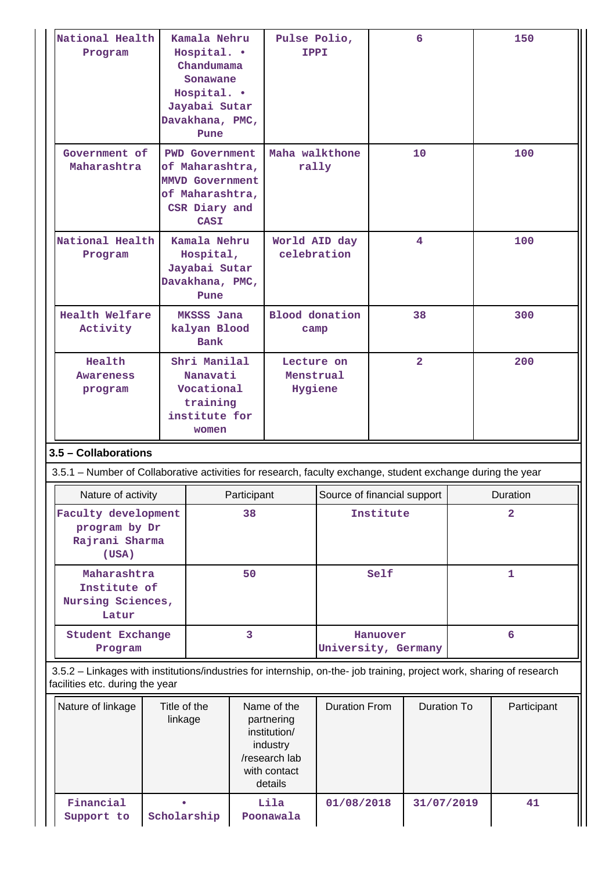| National Health<br>Program                                                                                                                               | Kamala Nehru<br>Hospital. .<br>Chandumama<br>Sonawane<br>Hospital. .<br>Jayabai Sutar<br>Davakhana, PMC,<br>Pune      |             | Pulse Polio,<br><b>IPPI</b>                                                                       |                             |                | 6                  |  | 150            |
|----------------------------------------------------------------------------------------------------------------------------------------------------------|-----------------------------------------------------------------------------------------------------------------------|-------------|---------------------------------------------------------------------------------------------------|-----------------------------|----------------|--------------------|--|----------------|
| Government of<br>Maharashtra                                                                                                                             | <b>PWD Government</b><br>of Maharashtra,<br><b>MMVD Government</b><br>of Maharashtra,<br>CSR Diary and<br><b>CASI</b> |             | Maha walkthone<br>rally                                                                           |                             | 10             |                    |  | 100            |
| National Health<br>Program                                                                                                                               | Kamala Nehru<br>Hospital,<br>Jayabai Sutar<br>Davakhana, PMC,<br>Pune                                                 |             | World AID day<br>celebration                                                                      |                             | 4              |                    |  | 100            |
| Health Welfare<br>Activity                                                                                                                               | MKSSS Jana<br>kalyan Blood<br><b>Bank</b>                                                                             |             | <b>Blood</b> donation<br>camp                                                                     |                             |                | 38                 |  | 300            |
| Health<br>Awareness<br>program                                                                                                                           | Shri Manilal<br>Nanavati<br>Vocational<br>training<br>institute for<br>women                                          |             | Lecture on<br>Menstrual<br>Hygiene                                                                |                             | $\overline{2}$ |                    |  | 200            |
| 3.5 - Collaborations<br>3.5.1 – Number of Collaborative activities for research, faculty exchange, student exchange during the year                      |                                                                                                                       |             |                                                                                                   |                             |                |                    |  |                |
| Nature of activity                                                                                                                                       |                                                                                                                       | Participant |                                                                                                   | Source of financial support |                |                    |  | Duration       |
| Faculty development<br>program by Dr<br>Rajrani Sharma<br>(USA)                                                                                          |                                                                                                                       | 38          |                                                                                                   |                             | Institute      |                    |  | $\overline{2}$ |
| Maharashtra<br>Institute of<br>Nursing Sciences,<br>Latur                                                                                                |                                                                                                                       | 50          |                                                                                                   | Self                        |                |                    |  | $\mathbf{1}$   |
| Program                                                                                                                                                  | $\overline{3}$<br>Student Exchange                                                                                    |             |                                                                                                   | University, Germany         | Hanuover       |                    |  | 6              |
| 3.5.2 - Linkages with institutions/industries for internship, on-the- job training, project work, sharing of research<br>facilities etc. during the year |                                                                                                                       |             |                                                                                                   |                             |                |                    |  |                |
| Nature of linkage                                                                                                                                        | Title of the<br>linkage                                                                                               |             | Name of the<br>partnering<br>institution/<br>industry<br>/research lab<br>with contact<br>details | <b>Duration From</b>        |                | <b>Duration To</b> |  | Participant    |
| Financial<br>Support to                                                                                                                                  | Scholarship                                                                                                           |             | Lila<br>Poonawala                                                                                 | 01/08/2018                  |                | 31/07/2019         |  | 41             |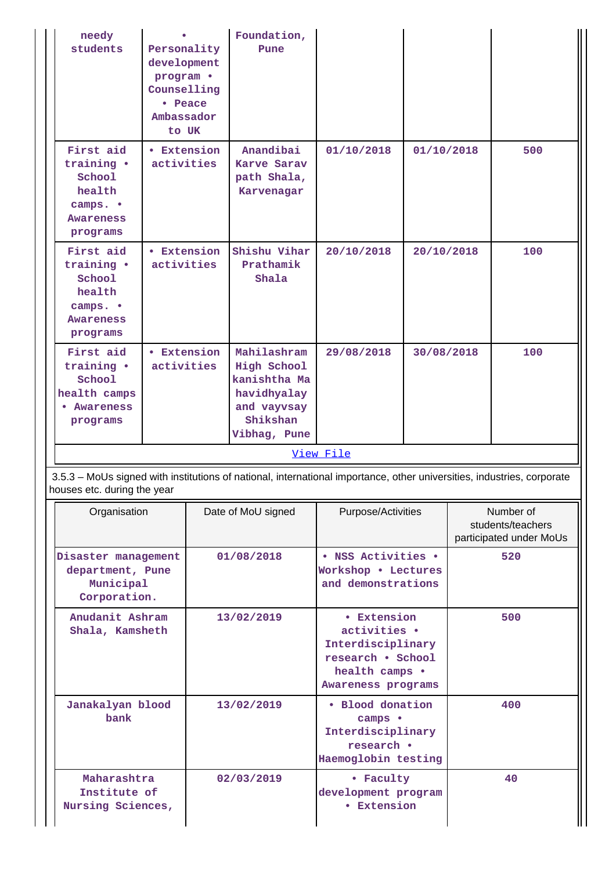| needy<br>students                                                                | Personality<br>development<br>program .<br>Counselling<br>• Peace<br>Ambassador<br>to UK |  | Foundation,<br>Pune                                                                                  |                                                                                                                        |            |                                                           |     |
|----------------------------------------------------------------------------------|------------------------------------------------------------------------------------------|--|------------------------------------------------------------------------------------------------------|------------------------------------------------------------------------------------------------------------------------|------------|-----------------------------------------------------------|-----|
| First aid<br>training .<br>School<br>health<br>camps. •<br>Awareness<br>programs | <b>• Extension</b><br>activities                                                         |  | Anandibai<br>Karve Sarav<br>path Shala,<br>Karvenagar                                                | 01/10/2018                                                                                                             | 01/10/2018 |                                                           | 500 |
| First aid<br>training .<br>School<br>health<br>camps. •<br>Awareness<br>programs | <b>• Extension</b><br>activities                                                         |  | Shishu Vihar<br>Prathamik<br>Shala                                                                   | 20/10/2018                                                                                                             | 20/10/2018 |                                                           | 100 |
| First aid<br>training .<br>School<br>health camps<br>Awareness<br>programs       | • Extension<br>activities                                                                |  | Mahilashram<br>High School<br>kanishtha Ma<br>havidhyalay<br>and vayvsay<br>Shikshan<br>Vibhag, Pune | 29/08/2018                                                                                                             | 30/08/2018 |                                                           | 100 |
|                                                                                  |                                                                                          |  |                                                                                                      | View File                                                                                                              |            |                                                           |     |
| houses etc. during the year                                                      |                                                                                          |  |                                                                                                      | 3.5.3 - MoUs signed with institutions of national, international importance, other universities, industries, corporate |            |                                                           |     |
| Organisation                                                                     |                                                                                          |  | Date of MoU signed                                                                                   | Purpose/Activities                                                                                                     |            | Number of<br>students/teachers<br>participated under MoUs |     |
| Disaster management<br>department, Pune<br>Municipal<br>Corporation.             |                                                                                          |  | 01/08/2018                                                                                           | • NSS Activities •<br>Workshop . Lectures<br>and demonstrations                                                        |            | 520                                                       |     |
| Anudanit Ashram<br>Shala, Kamsheth                                               |                                                                                          |  | 13/02/2019                                                                                           | • Extension<br>activities .<br>Interdisciplinary<br>research . School<br>health camps .<br>Awareness programs          |            |                                                           | 500 |
| Janakalyan blood<br>bank                                                         |                                                                                          |  | 13/02/2019                                                                                           | · Blood donation<br>camps •<br>Interdisciplinary<br>research •<br>Haemoglobin testing                                  |            |                                                           | 400 |
| Maharashtra<br>Institute of<br>Nursing Sciences,                                 |                                                                                          |  | 02/03/2019                                                                                           | • Faculty<br>development program<br><b>• Extension</b>                                                                 |            |                                                           | 40  |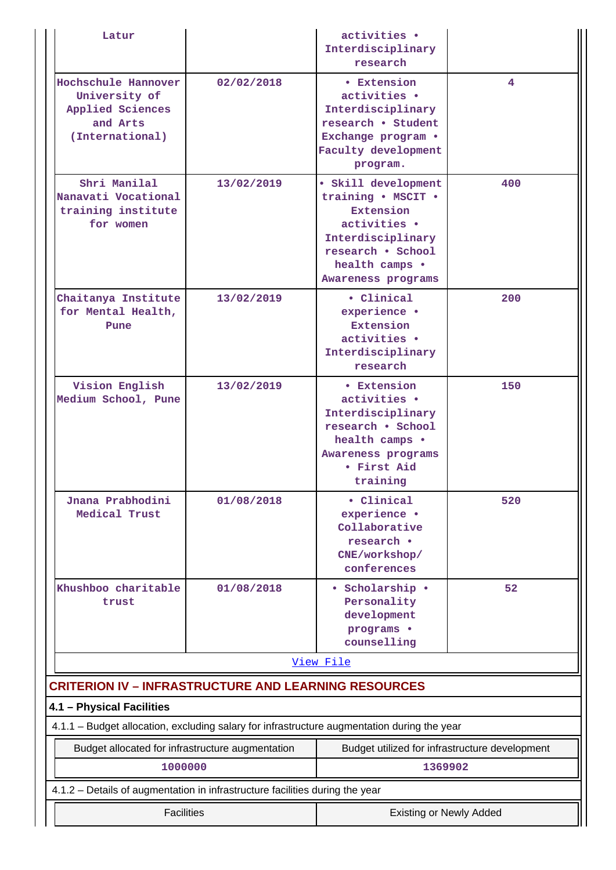| Latur                                                                                   |                                                     | activities .<br>Interdisciplinary<br>research                                                                                                            |     |  |  |  |
|-----------------------------------------------------------------------------------------|-----------------------------------------------------|----------------------------------------------------------------------------------------------------------------------------------------------------------|-----|--|--|--|
| Hochschule Hannover<br>University of<br>Applied Sciences<br>and Arts<br>(International) | 02/02/2018                                          | • Extension<br>activities .<br>Interdisciplinary<br>research . Student<br>Exchange program .<br>Faculty development<br>program.                          | 4   |  |  |  |
| Shri Manilal<br>Nanavati Vocational<br>training institute<br>for women                  | 13/02/2019                                          | · Skill development<br>training . MSCIT .<br>Extension<br>activities .<br>Interdisciplinary<br>research . School<br>health camps .<br>Awareness programs | 400 |  |  |  |
| Chaitanya Institute<br>for Mental Health,<br>Pune                                       | 13/02/2019                                          | • Clinical<br>experience ·<br><b>Extension</b><br>activities .<br>Interdisciplinary<br>research                                                          | 200 |  |  |  |
| Vision English<br>Medium School, Pune                                                   | 13/02/2019                                          | • Extension<br>activities .<br>Interdisciplinary<br>research . School<br>health camps .<br>Awareness programs<br>• First Aid<br>training                 | 150 |  |  |  |
| Jnana Prabhodini<br>Medical Trust                                                       | 01/08/2018                                          | · Clinical<br>experience ·<br>Collaborative<br>research .<br>CNE/workshop/<br>conferences                                                                | 520 |  |  |  |
| Khushboo charitable<br>trust                                                            | 01/08/2018                                          | • Scholarship •<br>Personality<br>development<br>programs .<br>counselling                                                                               | 52  |  |  |  |
|                                                                                         |                                                     | View File                                                                                                                                                |     |  |  |  |
| <b>CRITERION IV - INFRASTRUCTURE AND LEARNING RESOURCES</b>                             |                                                     |                                                                                                                                                          |     |  |  |  |
| 4.1 - Physical Facilities                                                               |                                                     |                                                                                                                                                          |     |  |  |  |
|                                                                                         |                                                     | 4.1.1 - Budget allocation, excluding salary for infrastructure augmentation during the year                                                              |     |  |  |  |
| Budget allocated for infrastructure augmentation                                        |                                                     | Budget utilized for infrastructure development                                                                                                           |     |  |  |  |
| 1000000                                                                                 |                                                     | 1369902                                                                                                                                                  |     |  |  |  |
| 4.1.2 - Details of augmentation in infrastructure facilities during the year            |                                                     |                                                                                                                                                          |     |  |  |  |
|                                                                                         | <b>Facilities</b><br><b>Existing or Newly Added</b> |                                                                                                                                                          |     |  |  |  |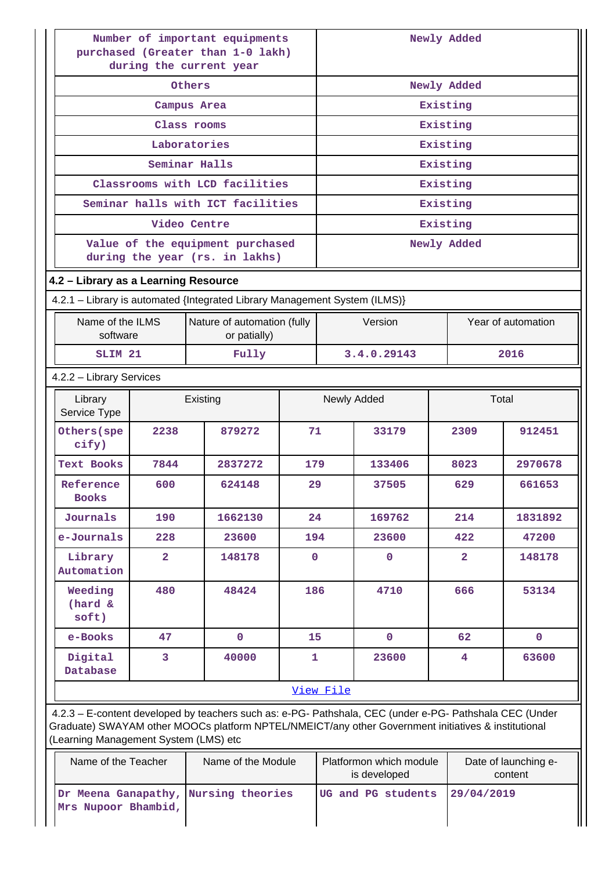| Number of important equipments<br>purchased (Greater than 1-0 lakh)<br>during the current year |                |                                                                                                         |             |                     |              | Newly Added    |                    |  |
|------------------------------------------------------------------------------------------------|----------------|---------------------------------------------------------------------------------------------------------|-------------|---------------------|--------------|----------------|--------------------|--|
|                                                                                                |                | Others                                                                                                  |             |                     |              | Newly Added    |                    |  |
|                                                                                                |                | Campus Area                                                                                             |             |                     |              | Existing       |                    |  |
|                                                                                                |                | Class rooms                                                                                             |             |                     |              | Existing       |                    |  |
|                                                                                                |                | Laboratories                                                                                            |             |                     |              | Existing       |                    |  |
|                                                                                                |                | Seminar Halls                                                                                           |             |                     |              | Existing       |                    |  |
|                                                                                                |                | Classrooms with LCD facilities                                                                          |             |                     |              | Existing       |                    |  |
|                                                                                                |                | Seminar halls with ICT facilities                                                                       |             |                     |              | Existing       |                    |  |
|                                                                                                |                | Video Centre                                                                                            |             |                     |              | Existing       |                    |  |
|                                                                                                |                | Value of the equipment purchased<br>during the year (rs. in lakhs)                                      |             |                     |              | Newly Added    |                    |  |
| 4.2 - Library as a Learning Resource                                                           |                |                                                                                                         |             |                     |              |                |                    |  |
|                                                                                                |                | 4.2.1 - Library is automated {Integrated Library Management System (ILMS)}                              |             |                     |              |                |                    |  |
| Name of the ILMS<br>software                                                                   |                | Nature of automation (fully<br>or patially)                                                             |             |                     | Version      |                | Year of automation |  |
| SLIM <sub>21</sub>                                                                             |                | Fully                                                                                                   |             | 3.4.0.29143<br>2016 |              |                |                    |  |
| 4.2.2 - Library Services                                                                       |                |                                                                                                         |             |                     |              |                |                    |  |
| Library<br>Service Type                                                                        |                | Existing                                                                                                |             |                     | Newly Added  |                | Total              |  |
| Others (spe<br>cify)                                                                           | 2238           | 879272                                                                                                  | 71          |                     | 33179        | 2309           | 912451             |  |
| <b>Text Books</b>                                                                              | 7844           | 2837272                                                                                                 | 179         |                     | 133406       | 8023           | 2970678            |  |
| Reference<br><b>Books</b>                                                                      | 600            | 624148                                                                                                  | 29          |                     | 37505        | 629            | 661653             |  |
| Journals                                                                                       | 190            | 1662130                                                                                                 | 24          |                     | 169762       | 214            | 1831892            |  |
| e-Journals                                                                                     | 228            | 23600                                                                                                   | 194         |                     | 23600        | 422            | 47200              |  |
| Library<br>Automation                                                                          | $\overline{a}$ | 148178                                                                                                  | $\mathbf 0$ |                     | $\mathbf 0$  | $\overline{a}$ | 148178             |  |
| Weeding<br>$(hard \&$<br>soft)                                                                 | 480            | 48424                                                                                                   | 186         |                     | 4710         | 666            | 53134              |  |
| e-Books                                                                                        | 47             | $\mathbf 0$                                                                                             | 15          |                     | $\mathbf{0}$ | 62             | $\mathbf{0}$       |  |
| Digital<br>Database                                                                            | 3              | 40000                                                                                                   | 1           |                     | 23600        | 4              | 63600              |  |
|                                                                                                |                |                                                                                                         |             | View File           |              |                |                    |  |
|                                                                                                |                | 4.2.3 - E-content developed by teachers such as: e-PG- Pathshala, CEC (under e-PG- Pathshala CEC (Under | $\bf M$     |                     |              |                |                    |  |

Graduate) SWAYAM other MOOCs platform NPTEL/NMEICT/any other Government initiatives & institutional (Learning Management System (LMS) etc

| Name of the Teacher                                         | Name of the Module | Platformon which module<br>is developed | Date of launching e-<br>content |
|-------------------------------------------------------------|--------------------|-----------------------------------------|---------------------------------|
| Dr Meena Ganapathy, Nursing theories<br>Mrs Nupoor Bhambid, |                    | UG and PG students                      | 129/04/2019                     |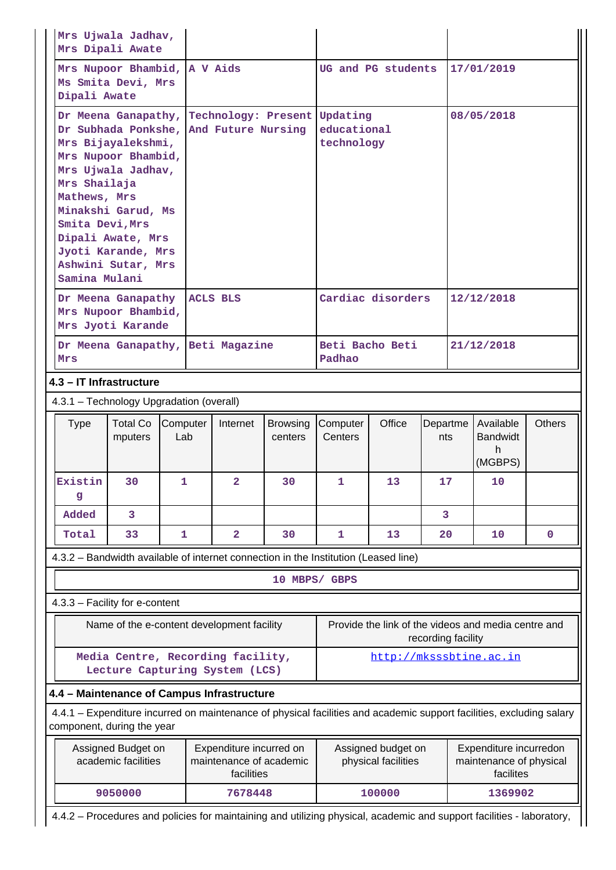|                                                                                                                                                                    | Mrs Ujwala Jadhav,<br>Mrs Dipali Awate                                                                                                                                                                                     |                            |                 |                                                                                     |                                                                                                                               |                                                                               |                                           |                 |            |                                                                |               |
|--------------------------------------------------------------------------------------------------------------------------------------------------------------------|----------------------------------------------------------------------------------------------------------------------------------------------------------------------------------------------------------------------------|----------------------------|-----------------|-------------------------------------------------------------------------------------|-------------------------------------------------------------------------------------------------------------------------------|-------------------------------------------------------------------------------|-------------------------------------------|-----------------|------------|----------------------------------------------------------------|---------------|
|                                                                                                                                                                    | Mrs Nupoor Bhambid, A V Aids<br>Ms Smita Devi, Mrs<br>Dipali Awate                                                                                                                                                         |                            |                 |                                                                                     |                                                                                                                               |                                                                               | UG and PG students                        |                 |            | 17/01/2019                                                     |               |
|                                                                                                                                                                    | Mrs Bijayalekshmi,<br>Mrs Nupoor Bhambid,<br>Mrs Ujwala Jadhav,<br>Mrs Shailaja<br>Mathews, Mrs<br>Minakshi Garud, Ms<br>Smita Devi, Mrs<br>Dipali Awate, Mrs<br>Jyoti Karande, Mrs<br>Ashwini Sutar, Mrs<br>Samina Mulani |                            |                 | Dr Subhada Ponkshe, And Future Nursing                                              |                                                                                                                               | Dr Meena Ganapathy, Technology: Present Updating<br>educational<br>technology |                                           |                 | 08/05/2018 |                                                                |               |
|                                                                                                                                                                    | Dr Meena Ganapathy<br>Mrs Nupoor Bhambid,<br>Mrs Jyoti Karande                                                                                                                                                             |                            |                 | <b>ACLS BLS</b>                                                                     |                                                                                                                               |                                                                               | Cardiac disorders                         |                 |            | 12/12/2018                                                     |               |
|                                                                                                                                                                    | Mrs                                                                                                                                                                                                                        |                            |                 | Dr Meena Ganapathy, Beti Magazine                                                   |                                                                                                                               | Beti Bacho Beti<br>Padhao                                                     |                                           |                 | 21/12/2018 |                                                                |               |
|                                                                                                                                                                    | 4.3 - IT Infrastructure                                                                                                                                                                                                    |                            |                 |                                                                                     |                                                                                                                               |                                                                               |                                           |                 |            |                                                                |               |
|                                                                                                                                                                    | 4.3.1 - Technology Upgradation (overall)                                                                                                                                                                                   |                            |                 |                                                                                     |                                                                                                                               |                                                                               |                                           |                 |            |                                                                |               |
|                                                                                                                                                                    | Type                                                                                                                                                                                                                       | <b>Total Co</b><br>mputers | Computer<br>Lab | Internet                                                                            | <b>Browsing</b><br>centers                                                                                                    | Computer<br>Centers                                                           | Office                                    | Departme<br>nts |            | Available<br><b>Bandwidt</b><br>h.<br>(MGBPS)                  | <b>Others</b> |
|                                                                                                                                                                    | Existin<br>g                                                                                                                                                                                                               | 30                         | 1               | $\overline{a}$                                                                      | 30                                                                                                                            | 1                                                                             | 13                                        | 17              |            | 10                                                             |               |
|                                                                                                                                                                    | Added                                                                                                                                                                                                                      | 3                          |                 |                                                                                     |                                                                                                                               |                                                                               |                                           | $\overline{3}$  |            |                                                                |               |
|                                                                                                                                                                    | Total                                                                                                                                                                                                                      | 33                         | $\mathbf{1}$    | $\overline{2}$                                                                      | 30                                                                                                                            | $\mathbf{1}$                                                                  | 13                                        | 20              |            | 10                                                             | $\mathbf{0}$  |
|                                                                                                                                                                    |                                                                                                                                                                                                                            |                            |                 | 4.3.2 - Bandwidth available of internet connection in the Institution (Leased line) |                                                                                                                               |                                                                               |                                           |                 |            |                                                                |               |
|                                                                                                                                                                    |                                                                                                                                                                                                                            |                            |                 |                                                                                     | 10 MBPS/ GBPS                                                                                                                 |                                                                               |                                           |                 |            |                                                                |               |
|                                                                                                                                                                    | 4.3.3 - Facility for e-content                                                                                                                                                                                             |                            |                 |                                                                                     |                                                                                                                               |                                                                               |                                           |                 |            |                                                                |               |
|                                                                                                                                                                    | Name of the e-content development facility                                                                                                                                                                                 |                            |                 |                                                                                     | Provide the link of the videos and media centre and<br>recording facility                                                     |                                                                               |                                           |                 |            |                                                                |               |
| Media Centre, Recording facility,<br>Lecture Capturing System (LCS)                                                                                                |                                                                                                                                                                                                                            |                            |                 | http://mksssbtine.ac.in                                                             |                                                                                                                               |                                                                               |                                           |                 |            |                                                                |               |
|                                                                                                                                                                    |                                                                                                                                                                                                                            |                            |                 |                                                                                     |                                                                                                                               |                                                                               |                                           |                 |            |                                                                |               |
| 4.4 - Maintenance of Campus Infrastructure<br>4.4.1 – Expenditure incurred on maintenance of physical facilities and academic support facilities, excluding salary |                                                                                                                                                                                                                            |                            |                 |                                                                                     |                                                                                                                               |                                                                               |                                           |                 |            |                                                                |               |
|                                                                                                                                                                    |                                                                                                                                                                                                                            |                            |                 |                                                                                     | component, during the year<br>Assigned Budget on<br>Expenditure incurred on<br>academic facilities<br>maintenance of academic |                                                                               |                                           |                 |            |                                                                |               |
|                                                                                                                                                                    |                                                                                                                                                                                                                            |                            |                 | facilities                                                                          |                                                                                                                               |                                                                               | Assigned budget on<br>physical facilities |                 |            | Expenditure incurredon<br>maintenance of physical<br>facilites |               |

4.4.2 – Procedures and policies for maintaining and utilizing physical, academic and support facilities - laboratory,

 $\prod_{i=1}^{n}$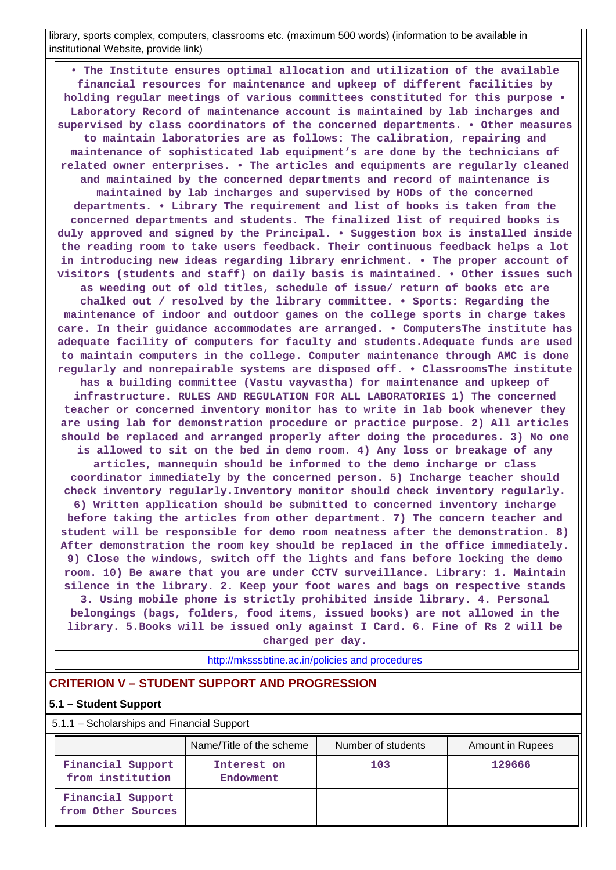library, sports complex, computers, classrooms etc. (maximum 500 words) (information to be available in institutional Website, provide link)

 **• The Institute ensures optimal allocation and utilization of the available financial resources for maintenance and upkeep of different facilities by holding regular meetings of various committees constituted for this purpose • Laboratory Record of maintenance account is maintained by lab incharges and supervised by class coordinators of the concerned departments. • Other measures to maintain laboratories are as follows: The calibration, repairing and maintenance of sophisticated lab equipment's are done by the technicians of related owner enterprises. • The articles and equipments are regularly cleaned and maintained by the concerned departments and record of maintenance is maintained by lab incharges and supervised by HODs of the concerned departments. • Library The requirement and list of books is taken from the concerned departments and students. The finalized list of required books is duly approved and signed by the Principal. • Suggestion box is installed inside the reading room to take users feedback. Their continuous feedback helps a lot in introducing new ideas regarding library enrichment. • The proper account of visitors (students and staff) on daily basis is maintained. • Other issues such as weeding out of old titles, schedule of issue/ return of books etc are chalked out / resolved by the library committee. • Sports: Regarding the maintenance of indoor and outdoor games on the college sports in charge takes care. In their guidance accommodates are arranged. • ComputersThe institute has adequate facility of computers for faculty and students.Adequate funds are used to maintain computers in the college. Computer maintenance through AMC is done regularly and nonrepairable systems are disposed off. • ClassroomsThe institute has a building committee (Vastu vayvastha) for maintenance and upkeep of infrastructure. RULES AND REGULATION FOR ALL LABORATORIES 1) The concerned teacher or concerned inventory monitor has to write in lab book whenever they are using lab for demonstration procedure or practice purpose. 2) All articles should be replaced and arranged properly after doing the procedures. 3) No one is allowed to sit on the bed in demo room. 4) Any loss or breakage of any articles, mannequin should be informed to the demo incharge or class coordinator immediately by the concerned person. 5) Incharge teacher should check inventory regularly.Inventory monitor should check inventory regularly. 6) Written application should be submitted to concerned inventory incharge before taking the articles from other department. 7) The concern teacher and student will be responsible for demo room neatness after the demonstration. 8) After demonstration the room key should be replaced in the office immediately. 9) Close the windows, switch off the lights and fans before locking the demo room. 10) Be aware that you are under CCTV surveillance. Library: 1. Maintain silence in the library. 2. Keep your foot wares and bags on respective stands 3. Using mobile phone is strictly prohibited inside library. 4. Personal belongings (bags, folders, food items, issued books) are not allowed in the library. 5.Books will be issued only against I Card. 6. Fine of Rs 2 will be charged per day.**

<http://mksssbtine.ac.in/policies and procedures>

#### **CRITERION V – STUDENT SUPPORT AND PROGRESSION**

#### **5.1 – Student Support**

5.1.1 – Scholarships and Financial Support

|                                         | Name/Title of the scheme | Number of students | Amount in Rupees |
|-----------------------------------------|--------------------------|--------------------|------------------|
| Financial Support<br>from institution   | Interest on<br>Endowment | 103                | 129666           |
| Financial Support<br>from Other Sources |                          |                    |                  |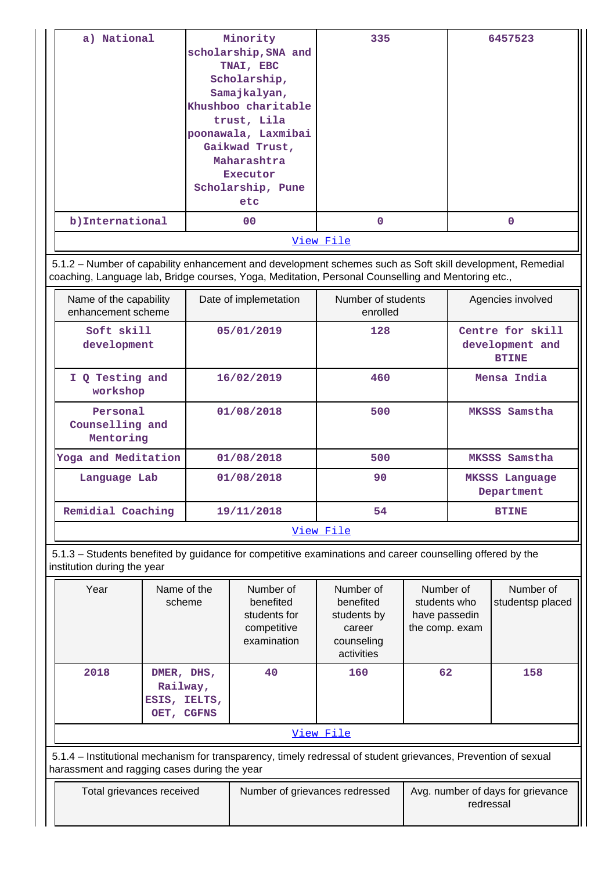| a) National      | Minority             | 335       | 6457523 |
|------------------|----------------------|-----------|---------|
|                  | scholarship, SNA and |           |         |
|                  | TNAI, EBC            |           |         |
|                  | Scholarship,         |           |         |
|                  | Samajkalyan,         |           |         |
|                  | Khushboo charitable  |           |         |
|                  | trust, Lila          |           |         |
|                  | poonawala, Laxmibai  |           |         |
|                  | Gaikwad Trust,       |           |         |
|                  | Maharashtra          |           |         |
|                  | <b>Executor</b>      |           |         |
|                  | Scholarship, Pune    |           |         |
|                  | etc                  |           |         |
| b) International | 00                   | 0         | 0       |
|                  |                      | View File |         |

 5.1.2 – Number of capability enhancement and development schemes such as Soft skill development, Remedial coaching, Language lab, Bridge courses, Yoga, Meditation, Personal Counselling and Mentoring etc.,

| Name of the capability<br>enhancement scheme | Date of implemetation | Number of students<br>enrolled | Agencies involved                                   |  |  |
|----------------------------------------------|-----------------------|--------------------------------|-----------------------------------------------------|--|--|
| Soft skill<br>development                    | 05/01/2019            | 128                            | Centre for skill<br>development and<br><b>BTINE</b> |  |  |
| I Q Testing and<br>workshop                  | 16/02/2019            | 460                            | Mensa India                                         |  |  |
| Personal<br>Counselling and<br>Mentoring     | 01/08/2018            | 500                            | MKSSS Samstha                                       |  |  |
| Yoga and Meditation                          | 01/08/2018            | 500                            | MKSSS Samstha                                       |  |  |
| Language Lab                                 | 01/08/2018            | 90                             | MKSSS Language<br>Department                        |  |  |
| Remidial Coaching                            | 19/11/2018            | 54                             | <b>BTINE</b>                                        |  |  |
| View File                                    |                       |                                |                                                     |  |  |

 5.1.3 – Students benefited by guidance for competitive examinations and career counselling offered by the institution during the year

| Year                                                                                                                                                           | Name of the<br>scheme                                | Number of<br>benefited<br>students for<br>competitive<br>examination | Number of<br>benefited<br>students by<br>career<br>counseling<br>activities | Number of<br>students who<br>have passedin<br>the comp. exam | Number of<br>studentsp placed |
|----------------------------------------------------------------------------------------------------------------------------------------------------------------|------------------------------------------------------|----------------------------------------------------------------------|-----------------------------------------------------------------------------|--------------------------------------------------------------|-------------------------------|
| 2018                                                                                                                                                           | DMER, DHS,<br>Railway,<br>ESIS, IELTS,<br>OET, CGFNS | 40                                                                   | 160                                                                         | 62                                                           | 158                           |
| View File                                                                                                                                                      |                                                      |                                                                      |                                                                             |                                                              |                               |
| 5.1.4 – Institutional mechanism for transparency, timely redressal of student grievances, Prevention of sexual<br>harassment and ragging cases during the year |                                                      |                                                                      |                                                                             |                                                              |                               |
| Total grievances received                                                                                                                                      |                                                      | Number of grievances redressed                                       |                                                                             | Avg. number of days for grievance<br>redressal               |                               |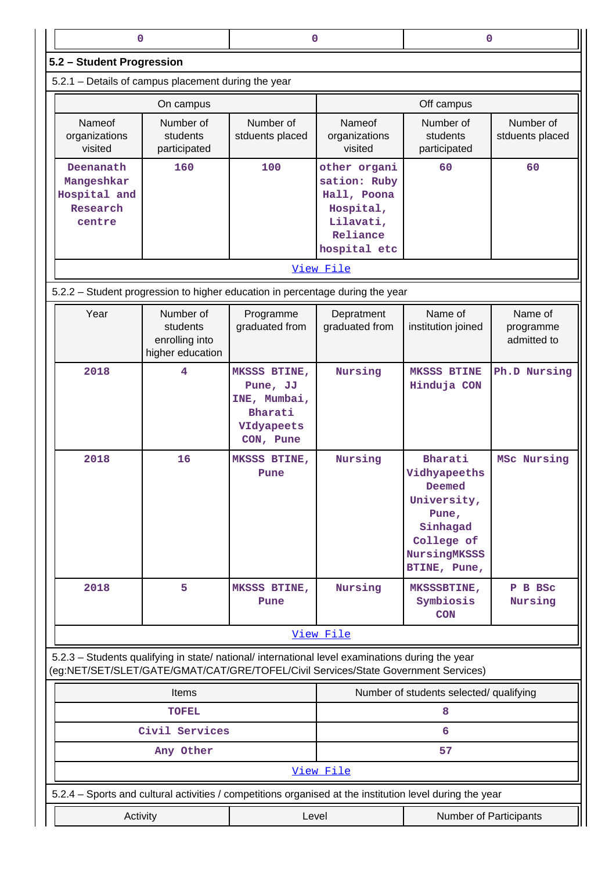| 0                                                                                                                                                                                      |                                                             | 0                                                                              |                                                                                                   | 0                                                                                                                   |                                     |  |  |
|----------------------------------------------------------------------------------------------------------------------------------------------------------------------------------------|-------------------------------------------------------------|--------------------------------------------------------------------------------|---------------------------------------------------------------------------------------------------|---------------------------------------------------------------------------------------------------------------------|-------------------------------------|--|--|
|                                                                                                                                                                                        |                                                             |                                                                                |                                                                                                   |                                                                                                                     |                                     |  |  |
| 5.2 - Student Progression<br>5.2.1 - Details of campus placement during the year                                                                                                       |                                                             |                                                                                |                                                                                                   |                                                                                                                     |                                     |  |  |
|                                                                                                                                                                                        |                                                             |                                                                                |                                                                                                   |                                                                                                                     |                                     |  |  |
|                                                                                                                                                                                        | On campus                                                   |                                                                                |                                                                                                   | Off campus                                                                                                          |                                     |  |  |
| Nameof<br>organizations<br>visited                                                                                                                                                     | Number of<br>students<br>participated                       | Number of<br>stduents placed                                                   | Nameof<br>organizations<br>visited                                                                | Number of<br>students<br>participated                                                                               | Number of<br>stduents placed        |  |  |
| Deenanath<br>Mangeshkar<br>Hospital and<br>Research<br>centre                                                                                                                          | 160                                                         | 100                                                                            | other organi<br>sation: Ruby<br>Hall, Poona<br>Hospital,<br>Lilavati,<br>Reliance<br>hospital etc | 60                                                                                                                  | 60                                  |  |  |
|                                                                                                                                                                                        | View File                                                   |                                                                                |                                                                                                   |                                                                                                                     |                                     |  |  |
| 5.2.2 - Student progression to higher education in percentage during the year                                                                                                          |                                                             |                                                                                |                                                                                                   |                                                                                                                     |                                     |  |  |
| Year                                                                                                                                                                                   | Number of<br>students<br>enrolling into<br>higher education | Programme<br>graduated from                                                    | Depratment<br>graduated from                                                                      | Name of<br>institution joined                                                                                       | Name of<br>programme<br>admitted to |  |  |
| 2018                                                                                                                                                                                   | 4                                                           | MKSSS BTINE,<br>Pune, JJ<br>INE, Mumbai,<br>Bharati<br>VIdyapeets<br>CON, Pune | Nursing                                                                                           | <b>MKSSS BTINE</b><br>Hinduja CON                                                                                   | Ph.D Nursing                        |  |  |
| 2018                                                                                                                                                                                   | 16                                                          | MKSSS BTINE,<br>Pune                                                           | Nursing                                                                                           | Bharati<br>Vidhyapeeths<br>Deemed<br>University,<br>Pune,<br>Sinhagad<br>College of<br>NursingMKSSS<br>BTINE, Pune, | MSc Nursing                         |  |  |
| 2018                                                                                                                                                                                   | 5                                                           | MKSSS BTINE,<br>Pune                                                           | Nursing                                                                                           | MKSSSBTINE,<br>Symbiosis<br><b>CON</b>                                                                              | P B BSC<br>Nursing                  |  |  |
| View File                                                                                                                                                                              |                                                             |                                                                                |                                                                                                   |                                                                                                                     |                                     |  |  |
| 5.2.3 - Students qualifying in state/ national/ international level examinations during the year<br>(eg:NET/SET/SLET/GATE/GMAT/CAT/GRE/TOFEL/Civil Services/State Government Services) |                                                             |                                                                                |                                                                                                   |                                                                                                                     |                                     |  |  |
| Items                                                                                                                                                                                  |                                                             |                                                                                | Number of students selected/ qualifying                                                           |                                                                                                                     |                                     |  |  |
|                                                                                                                                                                                        | <b>TOFEL</b>                                                |                                                                                |                                                                                                   | 8                                                                                                                   |                                     |  |  |
|                                                                                                                                                                                        | Civil Services                                              |                                                                                |                                                                                                   | 6                                                                                                                   |                                     |  |  |
|                                                                                                                                                                                        | Any Other                                                   |                                                                                |                                                                                                   | 57                                                                                                                  |                                     |  |  |
|                                                                                                                                                                                        |                                                             |                                                                                | View File                                                                                         |                                                                                                                     |                                     |  |  |
| 5.2.4 - Sports and cultural activities / competitions organised at the institution level during the year                                                                               |                                                             |                                                                                |                                                                                                   |                                                                                                                     |                                     |  |  |
| Activity                                                                                                                                                                               |                                                             | Level                                                                          |                                                                                                   | Number of Participants                                                                                              |                                     |  |  |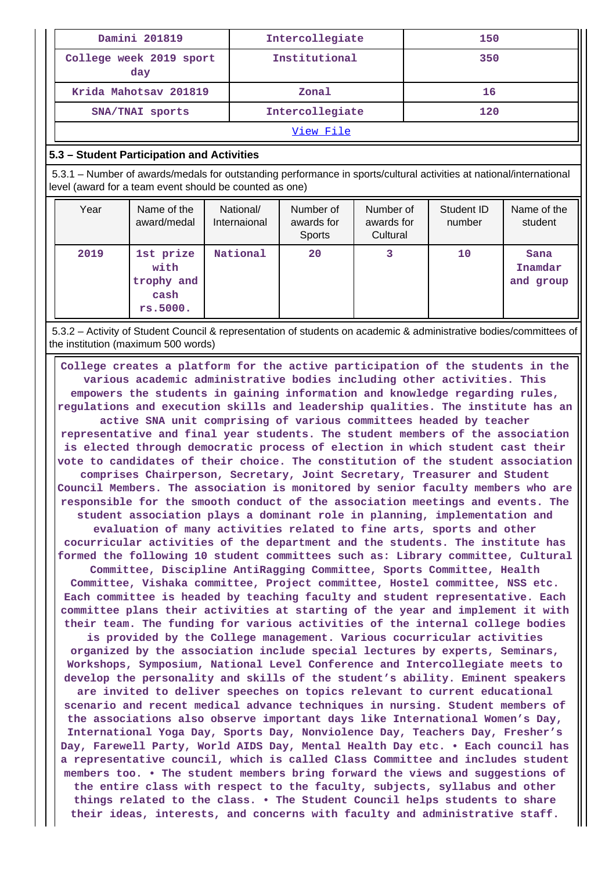| Damini 201819                  | Intercollegiate | 150 |
|--------------------------------|-----------------|-----|
| College week 2019 sport<br>day | Institutional   | 350 |
| Krida Mahotsav 201819          | Zonal           | 16  |
| SNA/TNAI sports                | Intercollegiate | 120 |
|                                |                 |     |

#### [View File](https://assessmentonline.naac.gov.in/public/Postacc/Activities_Organised/974_Activities_Organised_1567144260.xlsx)

#### **5.3 – Student Participation and Activities**

 5.3.1 – Number of awards/medals for outstanding performance in sports/cultural activities at national/international level (award for a team event should be counted as one)

| Year | Name of the<br>award/medal                          | National/<br>Internaional | Number of<br>awards for<br>Sports | Number of<br>awards for<br>Cultural | Student ID<br>number | Name of the<br>student          |
|------|-----------------------------------------------------|---------------------------|-----------------------------------|-------------------------------------|----------------------|---------------------------------|
| 2019 | 1st prize<br>with<br>trophy and<br>cash<br>rs.5000. | National                  | 20                                | 3                                   | 10                   | Sana<br>Inamdar<br>and<br>group |

 5.3.2 – Activity of Student Council & representation of students on academic & administrative bodies/committees of the institution (maximum 500 words)

 **College creates a platform for the active participation of the students in the various academic administrative bodies including other activities. This empowers the students in gaining information and knowledge regarding rules, regulations and execution skills and leadership qualities. The institute has an active SNA unit comprising of various committees headed by teacher representative and final year students. The student members of the association is elected through democratic process of election in which student cast their vote to candidates of their choice. The constitution of the student association comprises Chairperson, Secretary, Joint Secretary, Treasurer and Student Council Members. The association is monitored by senior faculty members who are responsible for the smooth conduct of the association meetings and events. The student association plays a dominant role in planning, implementation and evaluation of many activities related to fine arts, sports and other cocurricular activities of the department and the students. The institute has formed the following 10 student committees such as: Library committee, Cultural Committee, Discipline AntiRagging Committee, Sports Committee, Health Committee, Vishaka committee, Project committee, Hostel committee, NSS etc. Each committee is headed by teaching faculty and student representative. Each committee plans their activities at starting of the year and implement it with their team. The funding for various activities of the internal college bodies is provided by the College management. Various cocurricular activities organized by the association include special lectures by experts, Seminars, Workshops, Symposium, National Level Conference and Intercollegiate meets to develop the personality and skills of the student's ability. Eminent speakers are invited to deliver speeches on topics relevant to current educational scenario and recent medical advance techniques in nursing. Student members of the associations also observe important days like International Women's Day, International Yoga Day, Sports Day, Nonviolence Day, Teachers Day, Fresher's Day, Farewell Party, World AIDS Day, Mental Health Day etc. • Each council has a representative council, which is called Class Committee and includes student members too. • The student members bring forward the views and suggestions of the entire class with respect to the faculty, subjects, syllabus and other things related to the class. • The Student Council helps students to share their ideas, interests, and concerns with faculty and administrative staff.**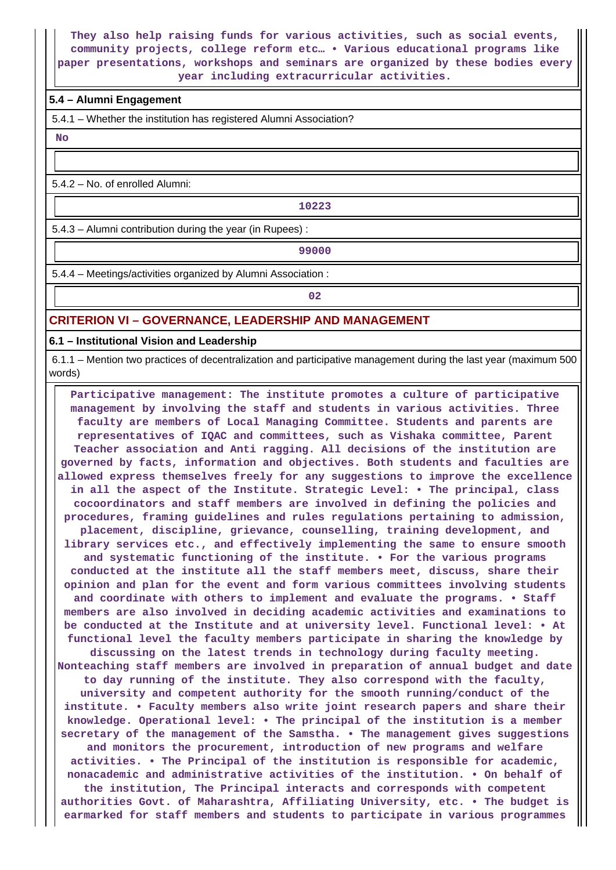**They also help raising funds for various activities, such as social events, community projects, college reform etc… • Various educational programs like paper presentations, workshops and seminars are organized by these bodies every year including extracurricular activities.**

#### **5.4 – Alumni Engagement**

5.4.1 – Whether the institution has registered Alumni Association?

 **No**

5.4.2 – No. of enrolled Alumni:

**10223**

5.4.3 – Alumni contribution during the year (in Rupees) :

**99000**

5.4.4 – Meetings/activities organized by Alumni Association :

**02**

#### **CRITERION VI – GOVERNANCE, LEADERSHIP AND MANAGEMENT**

**6.1 – Institutional Vision and Leadership**

 6.1.1 – Mention two practices of decentralization and participative management during the last year (maximum 500 words)

 **Participative management: The institute promotes a culture of participative management by involving the staff and students in various activities. Three faculty are members of Local Managing Committee. Students and parents are representatives of IQAC and committees, such as Vishaka committee, Parent Teacher association and Anti ragging. All decisions of the institution are governed by facts, information and objectives. Both students and faculties are allowed express themselves freely for any suggestions to improve the excellence in all the aspect of the Institute. Strategic Level: • The principal, class cocoordinators and staff members are involved in defining the policies and procedures, framing guidelines and rules regulations pertaining to admission, placement, discipline, grievance, counselling, training development, and library services etc., and effectively implementing the same to ensure smooth and systematic functioning of the institute. • For the various programs conducted at the institute all the staff members meet, discuss, share their opinion and plan for the event and form various committees involving students and coordinate with others to implement and evaluate the programs. • Staff members are also involved in deciding academic activities and examinations to be conducted at the Institute and at university level. Functional level: • At functional level the faculty members participate in sharing the knowledge by discussing on the latest trends in technology during faculty meeting. Nonteaching staff members are involved in preparation of annual budget and date to day running of the institute. They also correspond with the faculty, university and competent authority for the smooth running/conduct of the institute. • Faculty members also write joint research papers and share their knowledge. Operational level: • The principal of the institution is a member secretary of the management of the Samstha. • The management gives suggestions and monitors the procurement, introduction of new programs and welfare activities. • The Principal of the institution is responsible for academic, nonacademic and administrative activities of the institution. • On behalf of the institution, The Principal interacts and corresponds with competent authorities Govt. of Maharashtra, Affiliating University, etc. • The budget is earmarked for staff members and students to participate in various programmes**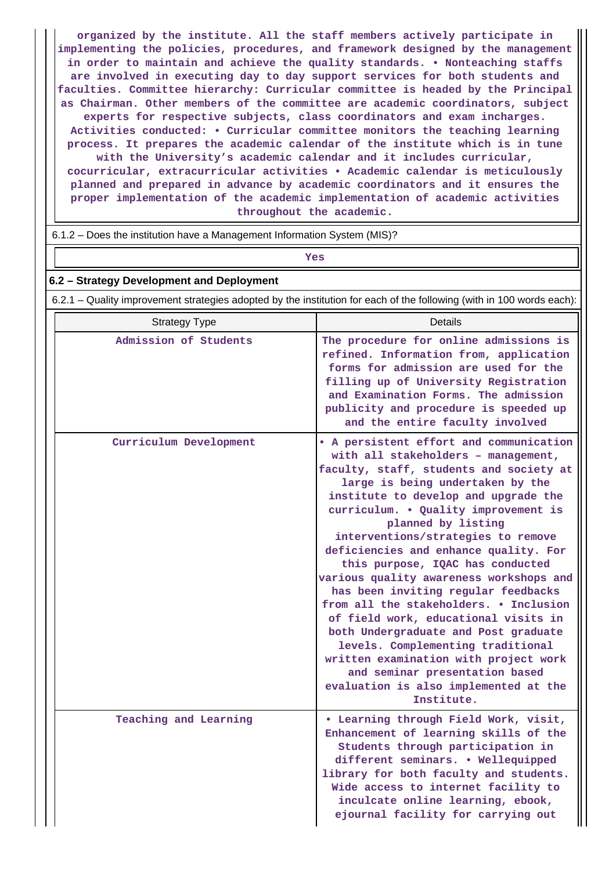**organized by the institute. All the staff members actively participate in implementing the policies, procedures, and framework designed by the management in order to maintain and achieve the quality standards. • Nonteaching staffs are involved in executing day to day support services for both students and faculties. Committee hierarchy: Curricular committee is headed by the Principal as Chairman. Other members of the committee are academic coordinators, subject experts for respective subjects, class coordinators and exam incharges. Activities conducted: • Curricular committee monitors the teaching learning process. It prepares the academic calendar of the institute which is in tune with the University's academic calendar and it includes curricular, cocurricular, extracurricular activities • Academic calendar is meticulously planned and prepared in advance by academic coordinators and it ensures the proper implementation of the academic implementation of academic activities throughout the academic.**

6.1.2 – Does the institution have a Management Information System (MIS)?

# *Yes*

### **6.2 – Strategy Development and Deployment**

6.2.1 – Quality improvement strategies adopted by the institution for each of the following (with in 100 words each):

| <b>Strategy Type</b>   | <b>Details</b>                                                                                                                                                                                                                                                                                                                                                                                                                                                                                                                                                                                                                                                                                                                                                            |
|------------------------|---------------------------------------------------------------------------------------------------------------------------------------------------------------------------------------------------------------------------------------------------------------------------------------------------------------------------------------------------------------------------------------------------------------------------------------------------------------------------------------------------------------------------------------------------------------------------------------------------------------------------------------------------------------------------------------------------------------------------------------------------------------------------|
| Admission of Students  | The procedure for online admissions is<br>refined. Information from, application<br>forms for admission are used for the<br>filling up of University Registration<br>and Examination Forms. The admission<br>publicity and procedure is speeded up<br>and the entire faculty involved                                                                                                                                                                                                                                                                                                                                                                                                                                                                                     |
| Curriculum Development | • A persistent effort and communication<br>with all stakeholders - management,<br>faculty, staff, students and society at<br>large is being undertaken by the<br>institute to develop and upgrade the<br>curriculum. . Quality improvement is<br>planned by listing<br>interventions/strategies to remove<br>deficiencies and enhance quality. For<br>this purpose, IQAC has conducted<br>various quality awareness workshops and<br>has been inviting regular feedbacks<br>from all the stakeholders. . Inclusion<br>of field work, educational visits in<br>both Undergraduate and Post graduate<br>levels. Complementing traditional<br>written examination with project work<br>and seminar presentation based<br>evaluation is also implemented at the<br>Institute. |
| Teaching and Learning  | . Learning through Field Work, visit,<br>Enhancement of learning skills of the<br>Students through participation in<br>different seminars. . Wellequipped<br>library for both faculty and students.<br>Wide access to internet facility to<br>inculcate online learning, ebook,<br>ejournal facility for carrying out                                                                                                                                                                                                                                                                                                                                                                                                                                                     |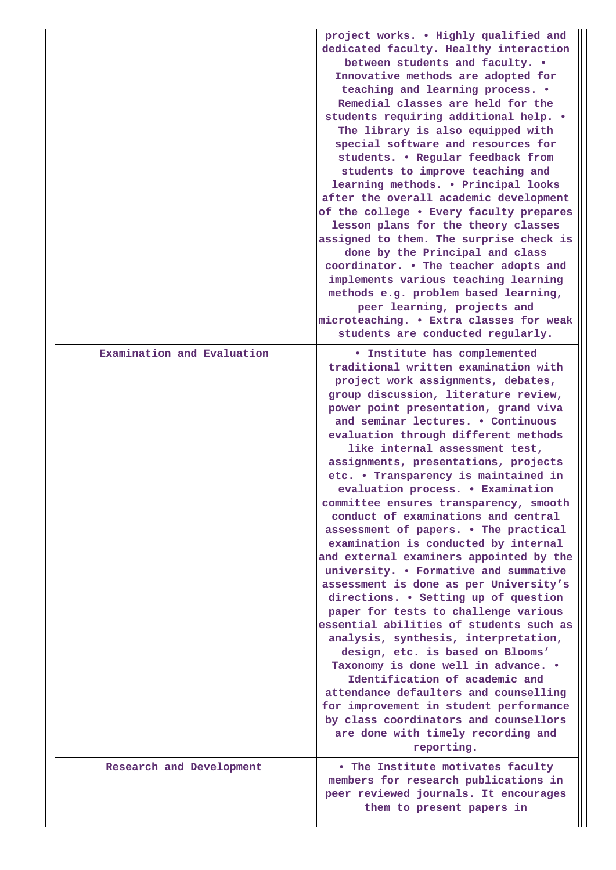|                            | project works. . Highly qualified and<br>dedicated faculty. Healthy interaction<br>between students and faculty. .<br>Innovative methods are adopted for<br>teaching and learning process. .<br>Remedial classes are held for the<br>students requiring additional help. .<br>The library is also equipped with<br>special software and resources for<br>students. . Regular feedback from<br>students to improve teaching and<br>learning methods. . Principal looks<br>after the overall academic development<br>of the college . Every faculty prepares<br>lesson plans for the theory classes<br>assigned to them. The surprise check is<br>done by the Principal and class<br>coordinator. . The teacher adopts and<br>implements various teaching learning<br>methods e.g. problem based learning,<br>peer learning, projects and<br>microteaching. . Extra classes for weak<br>students are conducted regularly.                                                                                                                                                                                                                                                                                |
|----------------------------|--------------------------------------------------------------------------------------------------------------------------------------------------------------------------------------------------------------------------------------------------------------------------------------------------------------------------------------------------------------------------------------------------------------------------------------------------------------------------------------------------------------------------------------------------------------------------------------------------------------------------------------------------------------------------------------------------------------------------------------------------------------------------------------------------------------------------------------------------------------------------------------------------------------------------------------------------------------------------------------------------------------------------------------------------------------------------------------------------------------------------------------------------------------------------------------------------------|
| Examination and Evaluation | <b>.</b> Institute has complemented<br>traditional written examination with<br>project work assignments, debates,<br>group discussion, literature review,<br>power point presentation, grand viva<br>and seminar lectures. . Continuous<br>evaluation through different methods<br>like internal assessment test,<br>assignments, presentations, projects<br>etc. • Transparency is maintained in<br>evaluation process. . Examination<br>committee ensures transparency, smooth<br>conduct of examinations and central<br>assessment of papers. . The practical<br>examination is conducted by internal<br>and external examiners appointed by the<br>university. . Formative and summative<br>assessment is done as per University's<br>directions. . Setting up of question<br>paper for tests to challenge various<br>essential abilities of students such as<br>analysis, synthesis, interpretation,<br>design, etc. is based on Blooms'<br>Taxonomy is done well in advance. .<br>Identification of academic and<br>attendance defaulters and counselling<br>for improvement in student performance<br>by class coordinators and counsellors<br>are done with timely recording and<br>reporting. |
| Research and Development   | . The Institute motivates faculty<br>members for research publications in<br>peer reviewed journals. It encourages<br>them to present papers in                                                                                                                                                                                                                                                                                                                                                                                                                                                                                                                                                                                                                                                                                                                                                                                                                                                                                                                                                                                                                                                        |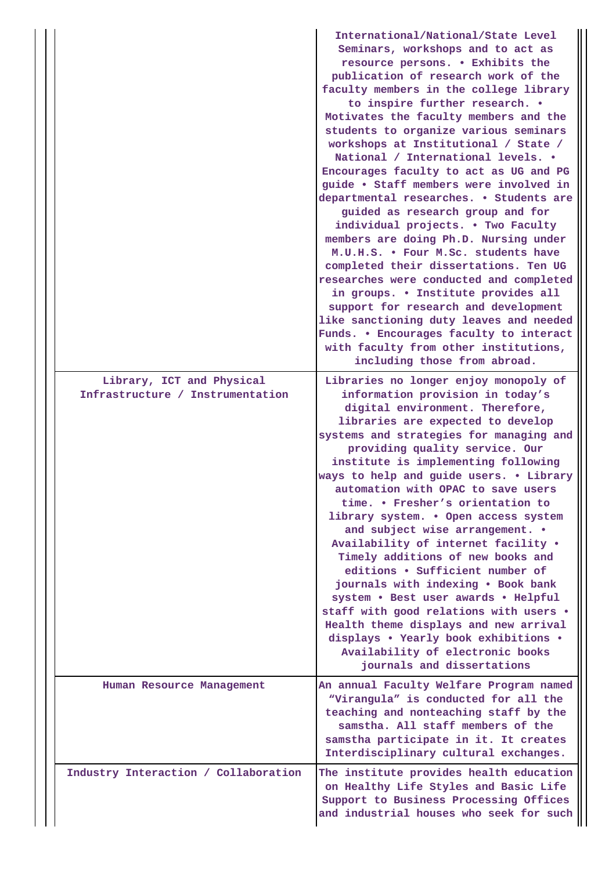|                                                               | International/National/State Level<br>Seminars, workshops and to act as<br>resource persons. . Exhibits the<br>publication of research work of the<br>faculty members in the college library<br>to inspire further research. .<br>Motivates the faculty members and the<br>students to organize various seminars<br>workshops at Institutional / State /<br>National / International levels. •<br>Encourages faculty to act as UG and PG<br>guide . Staff members were involved in<br>departmental researches. . Students are<br>guided as research group and for<br>individual projects. . Two Faculty<br>members are doing Ph.D. Nursing under<br>M.U.H.S. . Four M.Sc. students have<br>completed their dissertations. Ten UG<br>researches were conducted and completed<br>in groups. . Institute provides all<br>support for research and development<br>like sanctioning duty leaves and needed<br>Funds. . Encourages faculty to interact<br>with faculty from other institutions,<br>including those from abroad. |
|---------------------------------------------------------------|---------------------------------------------------------------------------------------------------------------------------------------------------------------------------------------------------------------------------------------------------------------------------------------------------------------------------------------------------------------------------------------------------------------------------------------------------------------------------------------------------------------------------------------------------------------------------------------------------------------------------------------------------------------------------------------------------------------------------------------------------------------------------------------------------------------------------------------------------------------------------------------------------------------------------------------------------------------------------------------------------------------------------|
| Library, ICT and Physical<br>Infrastructure / Instrumentation | Libraries no longer enjoy monopoly of<br>information provision in today's<br>digital environment. Therefore,<br>libraries are expected to develop<br>systems and strategies for managing and<br>providing quality service. Our<br>institute is implementing following<br>ways to help and guide users. . Library<br>automation with OPAC to save users<br>time. • Fresher's orientation to<br>library system. . Open access system<br>and subject wise arrangement. .<br>Availability of internet facility .<br>Timely additions of new books and<br>editions . Sufficient number of<br>journals with indexing . Book bank<br>system . Best user awards . Helpful<br>staff with good relations with users .<br>Health theme displays and new arrival<br>displays . Yearly book exhibitions .<br>Availability of electronic books<br>journals and dissertations                                                                                                                                                            |
| Human Resource Management                                     | An annual Faculty Welfare Program named<br>"Virangula" is conducted for all the<br>teaching and nonteaching staff by the<br>samstha. All staff members of the<br>samstha participate in it. It creates<br>Interdisciplinary cultural exchanges.                                                                                                                                                                                                                                                                                                                                                                                                                                                                                                                                                                                                                                                                                                                                                                           |
| Industry Interaction / Collaboration                          | The institute provides health education<br>on Healthy Life Styles and Basic Life<br>Support to Business Processing Offices<br>and industrial houses who seek for such                                                                                                                                                                                                                                                                                                                                                                                                                                                                                                                                                                                                                                                                                                                                                                                                                                                     |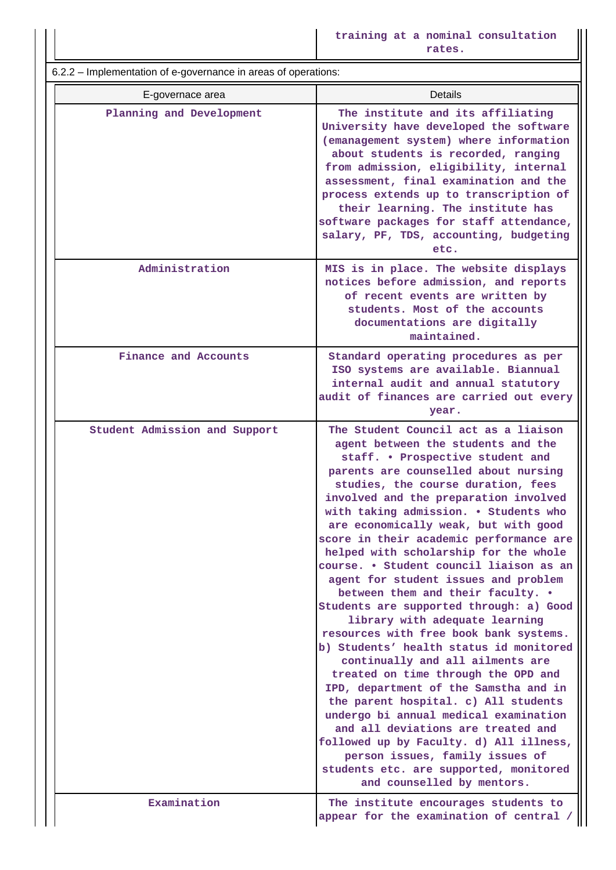**training at a nominal consultation rates.**

6.2.2 – Implementation of e-governance in areas of operations:

| implementation or e governance in areas or operations. |                                                                                                                                                                                                                                                                                                                                                                                                                                                                                                                                                                                                                                                                                                                                                                                                                                                                                                                                                                                                                                                                                                       |
|--------------------------------------------------------|-------------------------------------------------------------------------------------------------------------------------------------------------------------------------------------------------------------------------------------------------------------------------------------------------------------------------------------------------------------------------------------------------------------------------------------------------------------------------------------------------------------------------------------------------------------------------------------------------------------------------------------------------------------------------------------------------------------------------------------------------------------------------------------------------------------------------------------------------------------------------------------------------------------------------------------------------------------------------------------------------------------------------------------------------------------------------------------------------------|
| E-governace area                                       | <b>Details</b>                                                                                                                                                                                                                                                                                                                                                                                                                                                                                                                                                                                                                                                                                                                                                                                                                                                                                                                                                                                                                                                                                        |
| Planning and Development                               | The institute and its affiliating<br>University have developed the software<br>(emanagement system) where information<br>about students is recorded, ranging<br>from admission, eligibility, internal<br>assessment, final examination and the<br>process extends up to transcription of<br>their learning. The institute has<br>software packages for staff attendance,<br>salary, PF, TDS, accounting, budgeting<br>etc.                                                                                                                                                                                                                                                                                                                                                                                                                                                                                                                                                                                                                                                                            |
| Administration                                         | MIS is in place. The website displays<br>notices before admission, and reports<br>of recent events are written by<br>students. Most of the accounts<br>documentations are digitally<br>maintained.                                                                                                                                                                                                                                                                                                                                                                                                                                                                                                                                                                                                                                                                                                                                                                                                                                                                                                    |
| Finance and Accounts                                   | Standard operating procedures as per<br>ISO systems are available. Biannual<br>internal audit and annual statutory<br>audit of finances are carried out every<br>year.                                                                                                                                                                                                                                                                                                                                                                                                                                                                                                                                                                                                                                                                                                                                                                                                                                                                                                                                |
| Student Admission and Support                          | The Student Council act as a liaison<br>agent between the students and the<br>staff. . Prospective student and<br>parents are counselled about nursing<br>studies, the course duration, fees<br>involved and the preparation involved<br>with taking admission. . Students who<br>are economically weak, but with good<br>score in their academic performance are<br>helped with scholarship for the whole<br>course. • Student council liaison as an<br>agent for student issues and problem<br>between them and their faculty. .<br>Students are supported through: a) Good<br>library with adequate learning<br>resources with free book bank systems.<br>b) Students' health status id monitored<br>continually and all ailments are<br>treated on time through the OPD and<br>IPD, department of the Samstha and in<br>the parent hospital. c) All students<br>undergo bi annual medical examination<br>and all deviations are treated and<br>followed up by Faculty. d) All illness,<br>person issues, family issues of<br>students etc. are supported, monitored<br>and counselled by mentors. |
| Examination                                            | The institute encourages students to<br>appear for the examination of central /                                                                                                                                                                                                                                                                                                                                                                                                                                                                                                                                                                                                                                                                                                                                                                                                                                                                                                                                                                                                                       |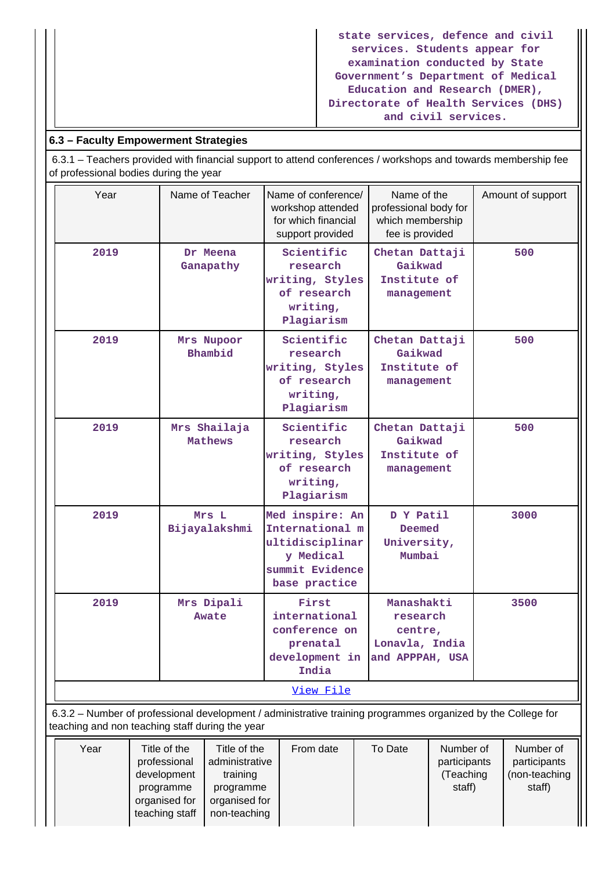**state services, defence and civil services. Students appear for examination conducted by State Government's Department of Medical Education and Research (DMER), Directorate of Health Services (DHS) and civil services.**

# **6.3 – Faculty Empowerment Strategies**

 6.3.1 – Teachers provided with financial support to attend conferences / workshops and towards membership fee of professional bodies during the year

| Year                                                                                                         | Name of Teacher                                 | Name of conference/<br>workshop attended<br>for which financial<br>support provided                    | Name of the<br>professional body for<br>which membership<br>fee is provided | Amount of support |  |  |  |  |  |
|--------------------------------------------------------------------------------------------------------------|-------------------------------------------------|--------------------------------------------------------------------------------------------------------|-----------------------------------------------------------------------------|-------------------|--|--|--|--|--|
| 2019                                                                                                         | Dr Meena<br>Ganapathy                           | Scientific<br>research<br>writing, Styles<br>of research<br>writing,<br>Plagiarism                     | Chetan Dattaji<br>Gaikwad<br>Institute of<br>management                     | 500               |  |  |  |  |  |
| 2019                                                                                                         | Mrs Nupoor<br>Bhambid                           | Scientific<br>research<br>writing, Styles<br>of research<br>writing,<br>Plagiarism                     | Chetan Dattaji<br>Gaikwad<br>Institute of<br>management                     | 500               |  |  |  |  |  |
| 2019                                                                                                         | Mrs Shailaja<br><b>Mathews</b>                  | Scientific<br>research<br>writing, Styles<br>of research<br>writing,<br>Plagiarism                     | Chetan Dattaji<br>Gaikwad<br>Institute of<br>management                     | 500               |  |  |  |  |  |
| 2019                                                                                                         | Mrs L<br>Bijayalakshmi                          | Med inspire: An<br>International m<br>ultidisciplinar<br>y Medical<br>summit Evidence<br>base practice | D Y Patil<br>Deemed<br>University,<br>Mumbai                                | 3000              |  |  |  |  |  |
| 2019                                                                                                         | Mrs Dipali<br>Awate                             | First<br>international<br>conference on<br>prenatal<br>development in<br>India                         | Manashakti<br>research<br>centre,<br>Lonavla, India<br>and APPPAH, USA      | 3500              |  |  |  |  |  |
|                                                                                                              |                                                 | View File                                                                                              |                                                                             |                   |  |  |  |  |  |
| 6.3.2 - Number of professional development / administrative training programmes organized by the College for |                                                 |                                                                                                        |                                                                             |                   |  |  |  |  |  |
|                                                                                                              | teaching and non teaching staff during the year |                                                                                                        |                                                                             |                   |  |  |  |  |  |

| Title of the<br>professional<br>development<br>programme<br>organised for | Title of the<br>administrative<br>training<br>programme<br>organised for | From date    | To Date | Number of<br>participants<br>(Teaching<br>staff) | Number of<br>participants<br>(non-teaching<br>staff) |
|---------------------------------------------------------------------------|--------------------------------------------------------------------------|--------------|---------|--------------------------------------------------|------------------------------------------------------|
|                                                                           | teaching staff                                                           | non-teaching |         |                                                  |                                                      |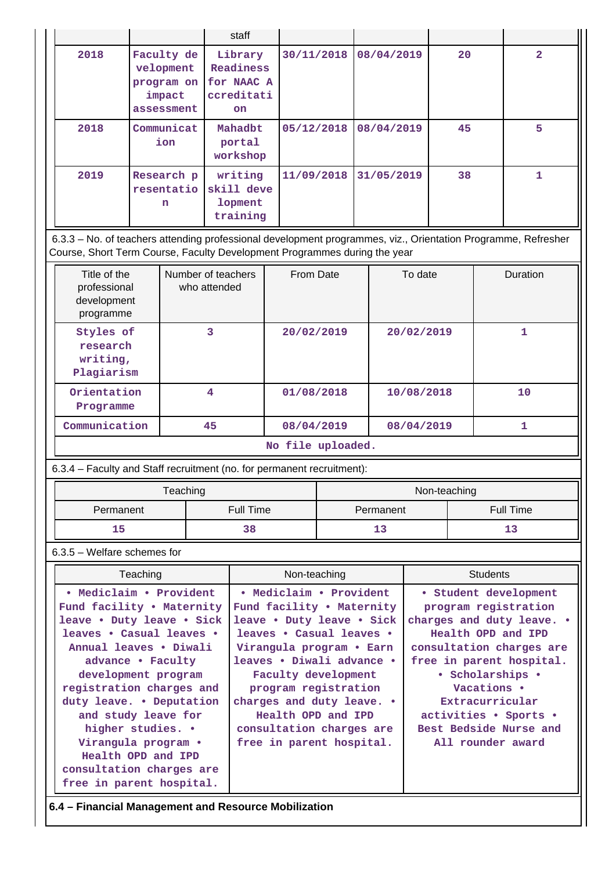|      |                                                               | staff                                                         |            |            |    |                |
|------|---------------------------------------------------------------|---------------------------------------------------------------|------------|------------|----|----------------|
| 2018 | Faculty de<br>velopment<br>program on<br>impact<br>assessment | Library<br>Readiness<br>for NAAC A<br>ccreditati<br><b>on</b> | 30/11/2018 | 08/04/2019 | 20 | $\overline{2}$ |
| 2018 | Communicat<br>ion                                             | Mahadbt<br>portal<br>workshop                                 | 05/12/2018 | 08/04/2019 | 45 | 5              |
| 2019 | Research p<br>resentatio<br>n                                 | writing<br>skill deve<br>lopment<br>training                  | 11/09/2018 | 31/05/2019 | 38 |                |

 6.3.3 – No. of teachers attending professional development programmes, viz., Orientation Programme, Refresher Course, Short Term Course, Faculty Development Programmes during the year

| Title of the<br>professional<br>development<br>programme | Number of teachers<br>who attended | From Date  | To date    | <b>Duration</b> |  |  |
|----------------------------------------------------------|------------------------------------|------------|------------|-----------------|--|--|
| Styles of<br>research<br>writing,<br>Plagiarism          | 3                                  | 20/02/2019 | 20/02/2019 | 1               |  |  |
| Orientation<br>Programme                                 | 4                                  | 01/08/2018 | 10/08/2018 | 10              |  |  |
| Communication                                            | 45                                 | 08/04/2019 | 08/04/2019 |                 |  |  |
|                                                          | No file uploaded.                  |            |            |                 |  |  |

| 6.3.4 - Faculty and Staff recruitment (no. for permanent recruitment): |  |  |  |  |  |
|------------------------------------------------------------------------|--|--|--|--|--|
|------------------------------------------------------------------------|--|--|--|--|--|

| Teaching  |           | Non-teaching |           |  |
|-----------|-----------|--------------|-----------|--|
| Permanent | Full Time | Permanent    | Full Time |  |
| 15        | 38        | Щ            |           |  |

# 6.3.5 – Welfare schemes for

| Teaching                                                                                                                                                                                                                                                                                                                                                                                     | Non-teaching                                                                                                                                                                                                                                                                                                                     | <b>Students</b>                                                                                                                                                                                                                                                                        |
|----------------------------------------------------------------------------------------------------------------------------------------------------------------------------------------------------------------------------------------------------------------------------------------------------------------------------------------------------------------------------------------------|----------------------------------------------------------------------------------------------------------------------------------------------------------------------------------------------------------------------------------------------------------------------------------------------------------------------------------|----------------------------------------------------------------------------------------------------------------------------------------------------------------------------------------------------------------------------------------------------------------------------------------|
| • Mediclaim • Provident<br>Fund facility . Maternity<br>leave . Duty leave . Sick<br>leaves . Casual leaves .<br>Annual leaves • Diwali<br>advance • Faculty<br>development program<br>registration charges and<br>duty leave. • Deputation<br>and study leave for<br>higher studies. •<br>Virangula program .<br>Health OPD and IPD<br>consultation charges are<br>free in parent hospital. | • Mediclaim • Provident<br>Fund facility • Maternity<br>leave . Duty leave . Sick<br>leaves • Casual leaves •<br>Virangula program • Earn<br>leaves • Diwali advance •<br>Faculty development<br>program registration<br>charges and duty leave. .<br>Health OPD and IPD<br>consultation charges are<br>free in parent hospital. | • Student development<br>program registration<br>charges and duty leave. .<br>Health OPD and IPD<br>consultation charges are<br>free in parent hospital.<br>• Scholarships •<br>Vacations •<br>Extracurricular<br>activities • Sports •<br>Best Bedside Nurse and<br>All rounder award |

**6.4 – Financial Management and Resource Mobilization**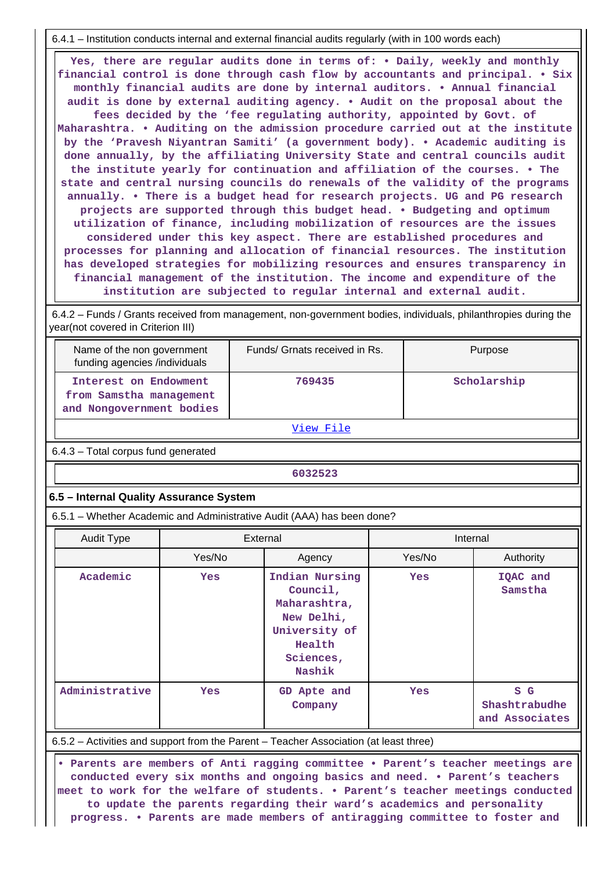6.4.1 – Institution conducts internal and external financial audits regularly (with in 100 words each)

 **Yes, there are regular audits done in terms of: • Daily, weekly and monthly financial control is done through cash flow by accountants and principal. • Six monthly financial audits are done by internal auditors. • Annual financial audit is done by external auditing agency. • Audit on the proposal about the fees decided by the 'fee regulating authority, appointed by Govt. of Maharashtra. • Auditing on the admission procedure carried out at the institute by the 'Pravesh Niyantran Samiti' (a government body). • Academic auditing is done annually, by the affiliating University State and central councils audit the institute yearly for continuation and affiliation of the courses. • The state and central nursing councils do renewals of the validity of the programs annually. • There is a budget head for research projects. UG and PG research projects are supported through this budget head. • Budgeting and optimum utilization of finance, including mobilization of resources are the issues considered under this key aspect. There are established procedures and processes for planning and allocation of financial resources. The institution has developed strategies for mobilizing resources and ensures transparency in financial management of the institution. The income and expenditure of the institution are subjected to regular internal and external audit.**

 6.4.2 – Funds / Grants received from management, non-government bodies, individuals, philanthropies during the year(not covered in Criterion III)

| Name of the non government<br>funding agencies /individuals                  | Funds/ Grnats received in Rs. | Purpose     |
|------------------------------------------------------------------------------|-------------------------------|-------------|
| Interest on Endowment<br>from Samstha management<br>and Nongovernment bodies | 769435                        | Scholarship |

[View File](https://assessmentonline.naac.gov.in/public/Postacc/Funds_or_Grants/974_Funds_or_Grants_1566973130.xlsx)

6.4.3 – Total corpus fund generated

**6032523** 

## **6.5 – Internal Quality Assurance System**

6.5.1 – Whether Academic and Administrative Audit (AAA) has been done?

| <b>Audit Type</b> |            | External                                                                                                   | Internal   |                                        |
|-------------------|------------|------------------------------------------------------------------------------------------------------------|------------|----------------------------------------|
|                   | Yes/No     | Agency                                                                                                     | Yes/No     | Authority                              |
| Academic          | <b>Yes</b> | Indian Nursing<br>Council,<br>Maharashtra,<br>New Delhi,<br>University of<br>Health<br>Sciences,<br>Nashik | <b>Yes</b> | IQAC and<br>Samstha                    |
| Administrative    | Yes        | GD Apte and<br>Company                                                                                     | <b>Yes</b> | S G<br>Shashtrabudhe<br>and Associates |

6.5.2 – Activities and support from the Parent – Teacher Association (at least three)

 **• Parents are members of Anti ragging committee • Parent's teacher meetings are conducted every six months and ongoing basics and need. • Parent's teachers meet to work for the welfare of students. • Parent's teacher meetings conducted to update the parents regarding their ward's academics and personality progress. • Parents are made members of antiragging committee to foster and**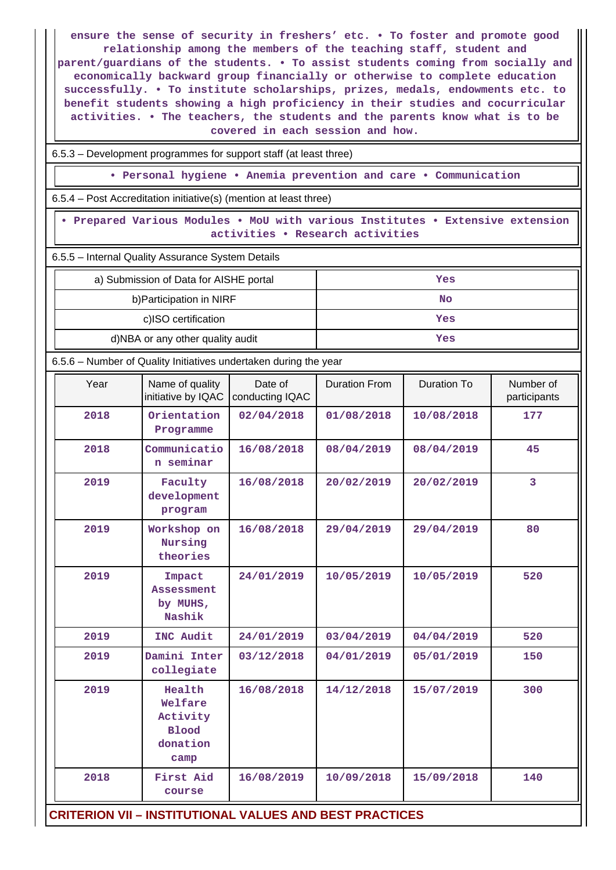**ensure the sense of security in freshers' etc. • To foster and promote good relationship among the members of the teaching staff, student and parent/guardians of the students. • To assist students coming from socially and economically backward group financially or otherwise to complete education successfully. • To institute scholarships, prizes, medals, endowments etc. to benefit students showing a high proficiency in their studies and cocurricular activities. • The teachers, the students and the parents know what is to be covered in each session and how.**

6.5.3 – Development programmes for support staff (at least three)

**• Personal hygiene • Anemia prevention and care • Communication**

6.5.4 – Post Accreditation initiative(s) (mention at least three)

 **• Prepared Various Modules • MoU with various Institutes • Extensive extension activities • Research activities**

6.5.5 – Internal Quality Assurance System Details

| a) Submission of Data for AISHE portal | Yes |
|----------------------------------------|-----|
| b) Participation in NIRF               | No  |
| c)ISO certification                    | Yes |
| d)NBA or any other quality audit       | Yes |

6.5.6 – Number of Quality Initiatives undertaken during the year

| Year                                                           | Name of quality<br>initiative by IQAC                             | Date of<br>conducting IQAC | Duration From | Duration To | Number of<br>participants |
|----------------------------------------------------------------|-------------------------------------------------------------------|----------------------------|---------------|-------------|---------------------------|
| 2018                                                           | Orientation<br>Programme                                          | 02/04/2018                 | 01/08/2018    | 10/08/2018  | 177                       |
| 2018                                                           | Communicatio<br>n seminar                                         | 16/08/2018                 | 08/04/2019    | 08/04/2019  | 45                        |
| 2019                                                           | Faculty<br>development<br>program                                 | 16/08/2018                 | 20/02/2019    | 20/02/2019  | 3                         |
| 2019                                                           | Workshop on<br>Nursing<br>theories                                | 16/08/2018                 | 29/04/2019    | 29/04/2019  | 80                        |
| 2019                                                           | Impact<br>Assessment<br>by MUHS,<br>Nashik                        | 24/01/2019                 | 10/05/2019    | 10/05/2019  | 520                       |
| 2019                                                           | INC Audit                                                         | 24/01/2019                 | 03/04/2019    | 04/04/2019  | 520                       |
| 2019                                                           | Damini Inter<br>collegiate                                        | 03/12/2018                 | 04/01/2019    | 05/01/2019  | 150                       |
| 2019                                                           | Health<br>Welfare<br>Activity<br><b>Blood</b><br>donation<br>camp | 16/08/2018                 | 14/12/2018    | 15/07/2019  | 300                       |
| 2018                                                           | First Aid<br>course                                               | 16/08/2019                 | 10/09/2018    | 15/09/2018  | 140                       |
| <b>CRITERION VII - INSTITUTIONAL VALUES AND BEST PRACTICES</b> |                                                                   |                            |               |             |                           |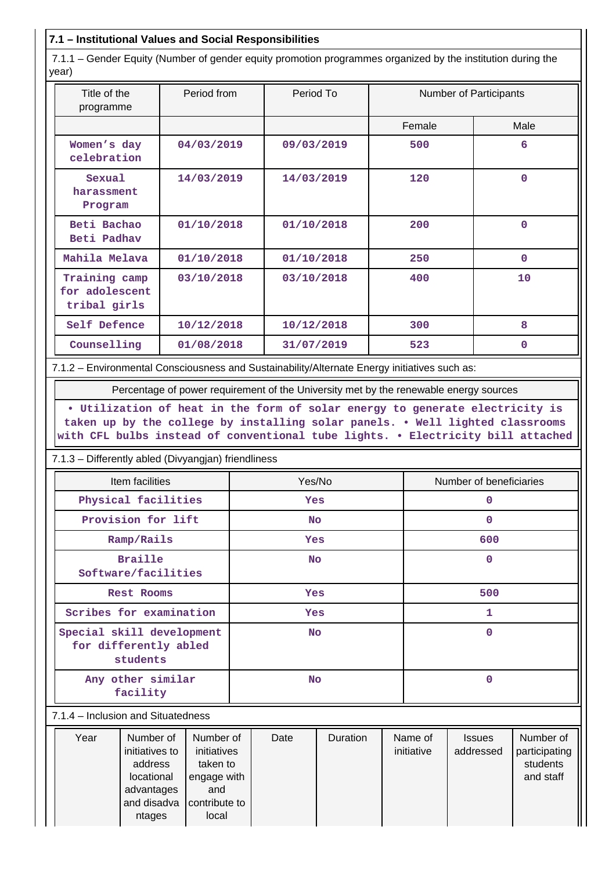# **7.1 – Institutional Values and Social Responsibilities**

 7.1.1 – Gender Equity (Number of gender equity promotion programmes organized by the institution during the year)

| Title of the<br>programme                       | Period from | Period To  | Number of Participants |             |
|-------------------------------------------------|-------------|------------|------------------------|-------------|
|                                                 |             |            | Female                 | Male        |
| Women's day<br>celebration                      | 04/03/2019  | 09/03/2019 | 500                    | 6           |
| Sexual<br>harassment<br>Program                 | 14/03/2019  | 14/03/2019 | 120                    | $\Omega$    |
| Beti Bachao<br>Beti Padhav                      | 01/10/2018  | 01/10/2018 | 200                    | $\Omega$    |
| Mahila Melava                                   | 01/10/2018  | 01/10/2018 | 250                    | $\mathbf 0$ |
| Training camp<br>for adolescent<br>tribal girls | 03/10/2018  | 03/10/2018 | 400                    | 10          |
| Self Defence                                    | 10/12/2018  | 10/12/2018 | 300                    | 8           |
| Counselling                                     | 01/08/2018  | 31/07/2019 | 523                    | $\Omega$    |

7.1.2 – Environmental Consciousness and Sustainability/Alternate Energy initiatives such as:

Percentage of power requirement of the University met by the renewable energy sources

**• Utilization of heat in the form of solar energy to generate electricity is taken up by the college by installing solar panels. • Well lighted classrooms with CFL bulbs instead of conventional tube lights. • Electricity bill attached**

7.1.3 – Differently abled (Divyangjan) friendliness

| Item facilities                                                | Yes/No     | Number of beneficiaries |
|----------------------------------------------------------------|------------|-------------------------|
| Physical facilities                                            | <b>Yes</b> | 0                       |
| Provision for lift                                             | <b>No</b>  | 0                       |
| Ramp/Rails                                                     | <b>Yes</b> | 600                     |
| <b>Braille</b><br>Software/facilities                          | <b>No</b>  | 0                       |
| Rest Rooms                                                     | <b>Yes</b> | 500                     |
| Scribes for examination                                        | <b>Yes</b> | 1                       |
| Special skill development<br>for differently abled<br>students | <b>No</b>  | $\mathbf 0$             |
| Any other similar<br>facility                                  | <b>No</b>  | 0                       |

#### 7.1.4 – Inclusion and Situatedness

| Year | Number of<br>initiatives to<br>address<br>locational<br>advantages<br>and disadva | Number of<br>initiatives<br>taken to<br>engage with<br>and<br>contribute to | Date | <b>Duration</b> | Name of<br>initiative | <b>Issues</b><br>addressed | Number of<br>participating<br>students<br>and staff |
|------|-----------------------------------------------------------------------------------|-----------------------------------------------------------------------------|------|-----------------|-----------------------|----------------------------|-----------------------------------------------------|
|      | ntages                                                                            | local                                                                       |      |                 |                       |                            |                                                     |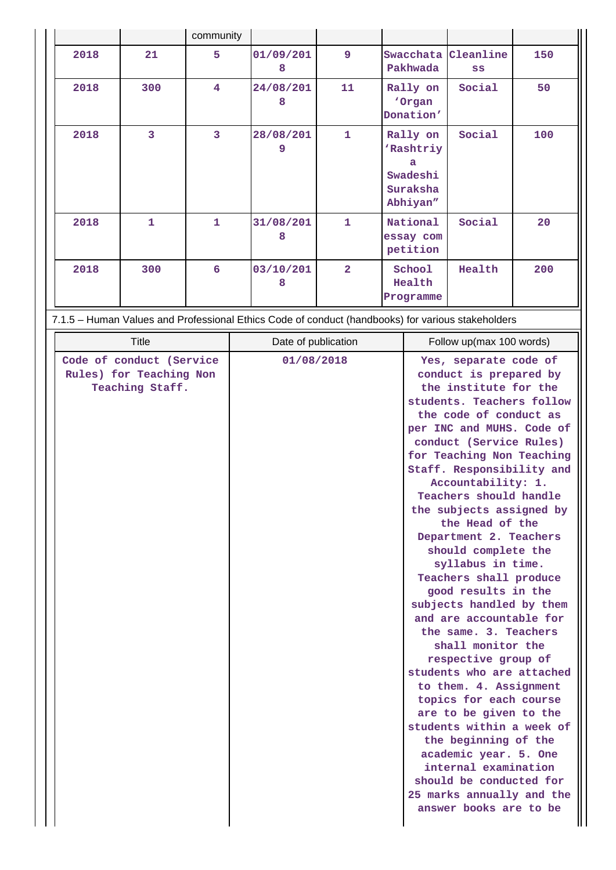|      |              | community               |                |                |                                                                           |        |     |
|------|--------------|-------------------------|----------------|----------------|---------------------------------------------------------------------------|--------|-----|
| 2018 | 21           | 5                       | 01/09/201<br>8 | 9              | Swacchata Cleanline<br>Pakhwada                                           | SS     | 150 |
| 2018 | 300          | $\overline{\mathbf{4}}$ | 24/08/201<br>8 | 11             | Rally on<br>'Organ<br>Donation'                                           | Social | 50  |
| 2018 | 3            | 3                       | 28/08/201<br>9 | $\mathbf{1}$   | Rally on<br>'Rashtriy<br>$\mathbf{a}$<br>Swadeshi<br>Suraksha<br>Abhiyan" | Social | 100 |
| 2018 | $\mathbf{1}$ | 1                       | 31/08/201<br>8 | $\mathbf{1}$   | National<br>essay com<br>petition                                         | Social | 20  |
| 2018 | 300          | $6\overline{6}$         | 03/10/201<br>8 | $\overline{2}$ | School<br>Health<br>Programme                                             | Health | 200 |

7.1.5 – Human Values and Professional Ethics Code of conduct (handbooks) for various stakeholders

| <b>Title</b>                                                           | Date of publication | Follow up(max 100 words)                                                                                                                                                                                                                                                                                                                                                                                                                                                                                                                                                                                                                                                                                                                                                                                                                                                                               |
|------------------------------------------------------------------------|---------------------|--------------------------------------------------------------------------------------------------------------------------------------------------------------------------------------------------------------------------------------------------------------------------------------------------------------------------------------------------------------------------------------------------------------------------------------------------------------------------------------------------------------------------------------------------------------------------------------------------------------------------------------------------------------------------------------------------------------------------------------------------------------------------------------------------------------------------------------------------------------------------------------------------------|
| Code of conduct (Service<br>Rules) for Teaching Non<br>Teaching Staff. | 01/08/2018          | Yes, separate code of<br>conduct is prepared by<br>the institute for the<br>students. Teachers follow<br>the code of conduct as<br>per INC and MUHS. Code of<br>conduct (Service Rules)<br>for Teaching Non Teaching<br>Staff. Responsibility and<br>Accountability: 1.<br>Teachers should handle<br>the subjects assigned by<br>the Head of the<br>Department 2. Teachers<br>should complete the<br>syllabus in time.<br>Teachers shall produce<br>good results in the<br>subjects handled by them<br>and are accountable for<br>the same. 3. Teachers<br>shall monitor the<br>respective group of<br>students who are attached<br>to them. 4. Assignment<br>topics for each course<br>are to be given to the<br>students within a week of<br>the beginning of the<br>academic year. 5. One<br>internal examination<br>should be conducted for<br>25 marks annually and the<br>answer books are to be |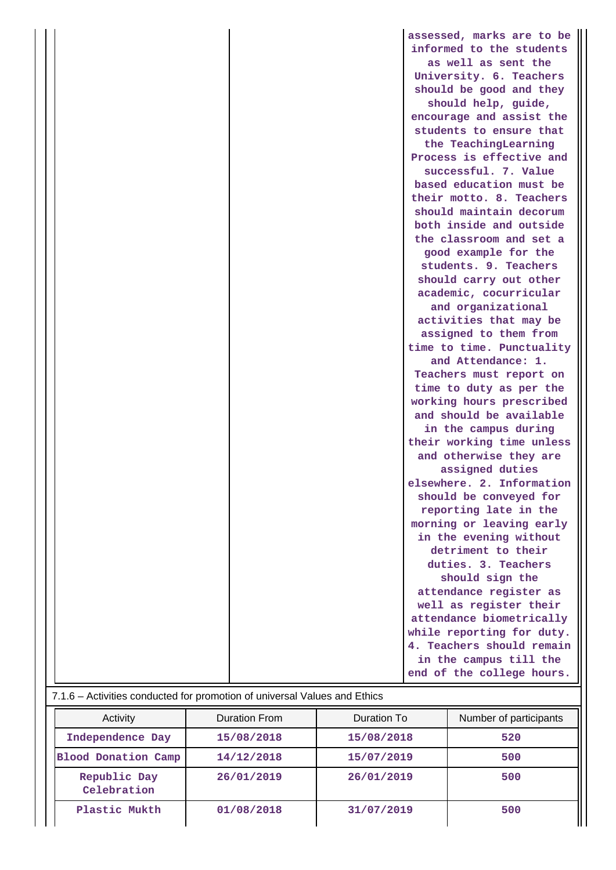|                                                                           | assessed, marks are to be |
|---------------------------------------------------------------------------|---------------------------|
|                                                                           | informed to the students  |
|                                                                           | as well as sent the       |
|                                                                           | University. 6. Teachers   |
|                                                                           | should be good and they   |
|                                                                           | should help, guide,       |
|                                                                           | encourage and assist the  |
|                                                                           | students to ensure that   |
|                                                                           | the TeachingLearning      |
|                                                                           | Process is effective and  |
|                                                                           | successful. 7. Value      |
|                                                                           | based education must be   |
|                                                                           | their motto. 8. Teachers  |
|                                                                           | should maintain decorum   |
|                                                                           | both inside and outside   |
|                                                                           | the classroom and set a   |
|                                                                           | good example for the      |
|                                                                           | students. 9. Teachers     |
|                                                                           | should carry out other    |
|                                                                           | academic, cocurricular    |
|                                                                           | and organizational        |
|                                                                           | activities that may be    |
|                                                                           | assigned to them from     |
|                                                                           | time to time. Punctuality |
|                                                                           | and Attendance: 1.        |
|                                                                           | Teachers must report on   |
|                                                                           | time to duty as per the   |
|                                                                           | working hours prescribed  |
|                                                                           | and should be available   |
|                                                                           | in the campus during      |
|                                                                           | their working time unless |
|                                                                           | and otherwise they are    |
|                                                                           | assigned duties           |
|                                                                           | elsewhere. 2. Information |
|                                                                           | should be conveyed for    |
|                                                                           | reporting late in the     |
|                                                                           | morning or leaving early  |
|                                                                           | in the evening without    |
|                                                                           | detriment to their        |
|                                                                           | duties. 3. Teachers       |
|                                                                           | should sign the           |
|                                                                           | attendance register as    |
|                                                                           | well as register their    |
|                                                                           | attendance biometrically  |
|                                                                           | while reporting for duty. |
|                                                                           | 4. Teachers should remain |
|                                                                           | in the campus till the    |
|                                                                           | end of the college hours. |
| 7.1.6 - Activities conducted for promotion of universal Values and Ethics |                           |

| Activity                    | Duration From | Duration To | Number of participants |  |  |
|-----------------------------|---------------|-------------|------------------------|--|--|
| Independence Day            | 15/08/2018    | 15/08/2018  | 520                    |  |  |
| Blood Donation Camp         | 14/12/2018    | 15/07/2019  | 500                    |  |  |
| Republic Day<br>Celebration | 26/01/2019    | 26/01/2019  | 500                    |  |  |
| Plastic Mukth               | 01/08/2018    | 31/07/2019  | 500                    |  |  |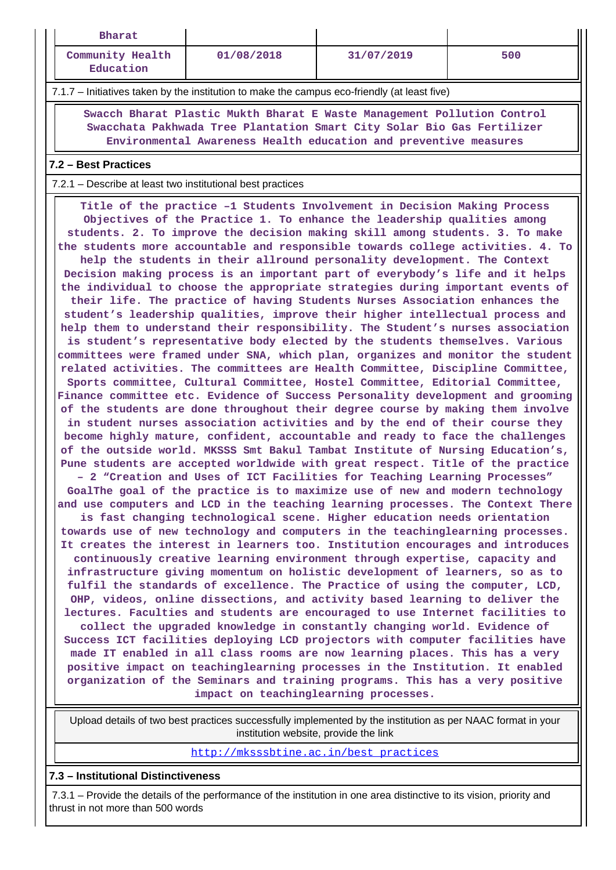| Bharat                                                                                                                                                                                                                                                                                                                                                                                                                                                                                                                                                                                                                                                                                                                                                                                                                                                                                                                                                                                                                                                                                                                                                                                                                                                                                                                                                                                                                                                                                                                                                                                                                                                                                                                                                                                                                                                                                                                                                                                                                                                                                                                                                                                                                                                                                                                                                                                                                                                                                                                                                                                                                                                                                                                                                                                                                                                                                                                                                                                                                                                                                                                                                                                                                 |            |            |     |  |  |  |
|------------------------------------------------------------------------------------------------------------------------------------------------------------------------------------------------------------------------------------------------------------------------------------------------------------------------------------------------------------------------------------------------------------------------------------------------------------------------------------------------------------------------------------------------------------------------------------------------------------------------------------------------------------------------------------------------------------------------------------------------------------------------------------------------------------------------------------------------------------------------------------------------------------------------------------------------------------------------------------------------------------------------------------------------------------------------------------------------------------------------------------------------------------------------------------------------------------------------------------------------------------------------------------------------------------------------------------------------------------------------------------------------------------------------------------------------------------------------------------------------------------------------------------------------------------------------------------------------------------------------------------------------------------------------------------------------------------------------------------------------------------------------------------------------------------------------------------------------------------------------------------------------------------------------------------------------------------------------------------------------------------------------------------------------------------------------------------------------------------------------------------------------------------------------------------------------------------------------------------------------------------------------------------------------------------------------------------------------------------------------------------------------------------------------------------------------------------------------------------------------------------------------------------------------------------------------------------------------------------------------------------------------------------------------------------------------------------------------------------------------------------------------------------------------------------------------------------------------------------------------------------------------------------------------------------------------------------------------------------------------------------------------------------------------------------------------------------------------------------------------------------------------------------------------------------------------------------------------|------------|------------|-----|--|--|--|
| Community Health<br>Education                                                                                                                                                                                                                                                                                                                                                                                                                                                                                                                                                                                                                                                                                                                                                                                                                                                                                                                                                                                                                                                                                                                                                                                                                                                                                                                                                                                                                                                                                                                                                                                                                                                                                                                                                                                                                                                                                                                                                                                                                                                                                                                                                                                                                                                                                                                                                                                                                                                                                                                                                                                                                                                                                                                                                                                                                                                                                                                                                                                                                                                                                                                                                                                          | 01/08/2018 | 31/07/2019 | 500 |  |  |  |
| 7.1.7 – Initiatives taken by the institution to make the campus eco-friendly (at least five)                                                                                                                                                                                                                                                                                                                                                                                                                                                                                                                                                                                                                                                                                                                                                                                                                                                                                                                                                                                                                                                                                                                                                                                                                                                                                                                                                                                                                                                                                                                                                                                                                                                                                                                                                                                                                                                                                                                                                                                                                                                                                                                                                                                                                                                                                                                                                                                                                                                                                                                                                                                                                                                                                                                                                                                                                                                                                                                                                                                                                                                                                                                           |            |            |     |  |  |  |
| Swacch Bharat Plastic Mukth Bharat E Waste Management Pollution Control<br>Swacchata Pakhwada Tree Plantation Smart City Solar Bio Gas Fertilizer<br>Environmental Awareness Health education and preventive measures                                                                                                                                                                                                                                                                                                                                                                                                                                                                                                                                                                                                                                                                                                                                                                                                                                                                                                                                                                                                                                                                                                                                                                                                                                                                                                                                                                                                                                                                                                                                                                                                                                                                                                                                                                                                                                                                                                                                                                                                                                                                                                                                                                                                                                                                                                                                                                                                                                                                                                                                                                                                                                                                                                                                                                                                                                                                                                                                                                                                  |            |            |     |  |  |  |
| 7.2 - Best Practices                                                                                                                                                                                                                                                                                                                                                                                                                                                                                                                                                                                                                                                                                                                                                                                                                                                                                                                                                                                                                                                                                                                                                                                                                                                                                                                                                                                                                                                                                                                                                                                                                                                                                                                                                                                                                                                                                                                                                                                                                                                                                                                                                                                                                                                                                                                                                                                                                                                                                                                                                                                                                                                                                                                                                                                                                                                                                                                                                                                                                                                                                                                                                                                                   |            |            |     |  |  |  |
|                                                                                                                                                                                                                                                                                                                                                                                                                                                                                                                                                                                                                                                                                                                                                                                                                                                                                                                                                                                                                                                                                                                                                                                                                                                                                                                                                                                                                                                                                                                                                                                                                                                                                                                                                                                                                                                                                                                                                                                                                                                                                                                                                                                                                                                                                                                                                                                                                                                                                                                                                                                                                                                                                                                                                                                                                                                                                                                                                                                                                                                                                                                                                                                                                        |            |            |     |  |  |  |
| 7.2.1 - Describe at least two institutional best practices<br>Title of the practice -1 Students Involvement in Decision Making Process<br>Objectives of the Practice 1. To enhance the leadership qualities among<br>students. 2. To improve the decision making skill among students. 3. To make<br>the students more accountable and responsible towards college activities. 4. To<br>help the students in their allround personality development. The Context<br>Decision making process is an important part of everybody's life and it helps<br>the individual to choose the appropriate strategies during important events of<br>their life. The practice of having Students Nurses Association enhances the<br>student's leadership qualities, improve their higher intellectual process and<br>help them to understand their responsibility. The Student's nurses association<br>is student's representative body elected by the students themselves. Various<br>committees were framed under SNA, which plan, organizes and monitor the student<br>related activities. The committees are Health Committee, Discipline Committee,<br>Sports committee, Cultural Committee, Hostel Committee, Editorial Committee,<br>Finance committee etc. Evidence of Success Personality development and grooming<br>of the students are done throughout their degree course by making them involve<br>in student nurses association activities and by the end of their course they<br>become highly mature, confident, accountable and ready to face the challenges<br>of the outside world. MKSSS Smt Bakul Tambat Institute of Nursing Education's,<br>Pune students are accepted worldwide with great respect. Title of the practice<br>- 2 "Creation and Uses of ICT Facilities for Teaching Learning Processes"<br>GoalThe goal of the practice is to maximize use of new and modern technology<br>and use computers and LCD in the teaching learning processes. The Context There<br>is fast changing technological scene. Higher education needs orientation<br>towards use of new technology and computers in the teachinglearning processes.<br>It creates the interest in learners too. Institution encourages and introduces<br>continuously creative learning environment through expertise, capacity and<br>infrastructure giving momentum on holistic development of learners, so as to<br>fulfil the standards of excellence. The Practice of using the computer, LCD,<br>OHP, videos, online dissections, and activity based learning to deliver the<br>lectures. Faculties and students are encouraged to use Internet facilities to<br>collect the upgraded knowledge in constantly changing world. Evidence of<br>Success ICT facilities deploying LCD projectors with computer facilities have<br>made IT enabled in all class rooms are now learning places. This has a very<br>positive impact on teachinglearning processes in the Institution. It enabled<br>organization of the Seminars and training programs. This has a very positive<br>impact on teachinglearning processes.<br>Upload details of two best practices successfully implemented by the institution as per NAAC format in your |            |            |     |  |  |  |
|                                                                                                                                                                                                                                                                                                                                                                                                                                                                                                                                                                                                                                                                                                                                                                                                                                                                                                                                                                                                                                                                                                                                                                                                                                                                                                                                                                                                                                                                                                                                                                                                                                                                                                                                                                                                                                                                                                                                                                                                                                                                                                                                                                                                                                                                                                                                                                                                                                                                                                                                                                                                                                                                                                                                                                                                                                                                                                                                                                                                                                                                                                                                                                                                                        |            |            |     |  |  |  |
| institution website, provide the link<br>http://mksssbtine.ac.in/best practices                                                                                                                                                                                                                                                                                                                                                                                                                                                                                                                                                                                                                                                                                                                                                                                                                                                                                                                                                                                                                                                                                                                                                                                                                                                                                                                                                                                                                                                                                                                                                                                                                                                                                                                                                                                                                                                                                                                                                                                                                                                                                                                                                                                                                                                                                                                                                                                                                                                                                                                                                                                                                                                                                                                                                                                                                                                                                                                                                                                                                                                                                                                                        |            |            |     |  |  |  |

## **7.3 – Institutional Distinctiveness**

 7.3.1 – Provide the details of the performance of the institution in one area distinctive to its vision, priority and thrust in not more than 500 words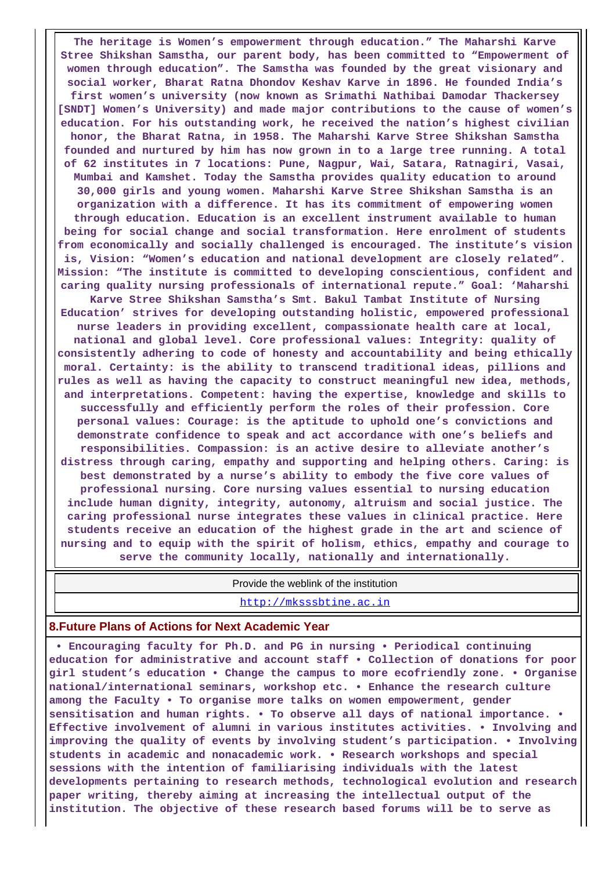**The heritage is Women's empowerment through education." The Maharshi Karve Stree Shikshan Samstha, our parent body, has been committed to "Empowerment of women through education". The Samstha was founded by the great visionary and social worker, Bharat Ratna Dhondov Keshav Karve in 1896. He founded India's first women's university (now known as Srimathi Nathibai Damodar Thackersey [SNDT] Women's University) and made major contributions to the cause of women's education. For his outstanding work, he received the nation's highest civilian honor, the Bharat Ratna, in 1958. The Maharshi Karve Stree Shikshan Samstha founded and nurtured by him has now grown in to a large tree running. A total of 62 institutes in 7 locations: Pune, Nagpur, Wai, Satara, Ratnagiri, Vasai, Mumbai and Kamshet. Today the Samstha provides quality education to around 30,000 girls and young women. Maharshi Karve Stree Shikshan Samstha is an organization with a difference. It has its commitment of empowering women through education. Education is an excellent instrument available to human being for social change and social transformation. Here enrolment of students from economically and socially challenged is encouraged. The institute's vision is, Vision: "Women's education and national development are closely related". Mission: "The institute is committed to developing conscientious, confident and caring quality nursing professionals of international repute." Goal: 'Maharshi Karve Stree Shikshan Samstha's Smt. Bakul Tambat Institute of Nursing Education' strives for developing outstanding holistic, empowered professional nurse leaders in providing excellent, compassionate health care at local, national and global level. Core professional values: Integrity: quality of consistently adhering to code of honesty and accountability and being ethically moral. Certainty: is the ability to transcend traditional ideas, pillions and rules as well as having the capacity to construct meaningful new idea, methods, and interpretations. Competent: having the expertise, knowledge and skills to successfully and efficiently perform the roles of their profession. Core personal values: Courage: is the aptitude to uphold one's convictions and demonstrate confidence to speak and act accordance with one's beliefs and responsibilities. Compassion: is an active desire to alleviate another's distress through caring, empathy and supporting and helping others. Caring: is best demonstrated by a nurse's ability to embody the five core values of professional nursing. Core nursing values essential to nursing education include human dignity, integrity, autonomy, altruism and social justice. The caring professional nurse integrates these values in clinical practice. Here students receive an education of the highest grade in the art and science of nursing and to equip with the spirit of holism, ethics, empathy and courage to serve the community locally, nationally and internationally.**

Provide the weblink of the institution

<http://mksssbtine.ac.in>

#### **8.Future Plans of Actions for Next Academic Year**

 **• Encouraging faculty for Ph.D. and PG in nursing • Periodical continuing education for administrative and account staff • Collection of donations for poor girl student's education • Change the campus to more ecofriendly zone. • Organise national/international seminars, workshop etc. • Enhance the research culture among the Faculty • To organise more talks on women empowerment, gender sensitisation and human rights. • To observe all days of national importance. • Effective involvement of alumni in various institutes activities. • Involving and improving the quality of events by involving student's participation. • Involving students in academic and nonacademic work. • Research workshops and special sessions with the intention of familiarising individuals with the latest developments pertaining to research methods, technological evolution and research paper writing, thereby aiming at increasing the intellectual output of the institution. The objective of these research based forums will be to serve as**